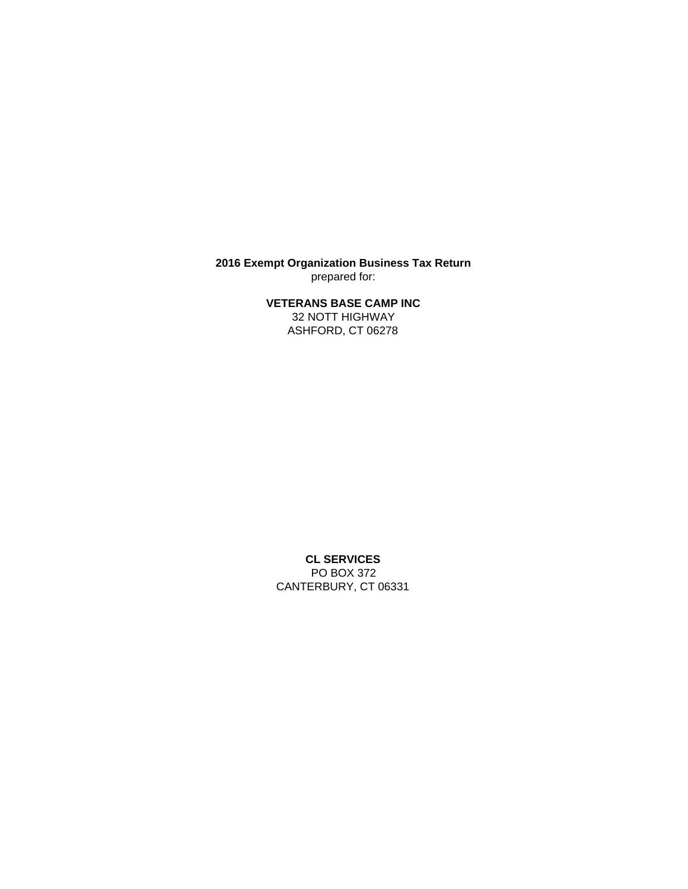**2016 Exempt Organization Business Tax Return** prepared for:

**VETERANS BASE CAMP INC**

32 NOTT HIGHWAY ASHFORD, CT 06278

**CL SERVICES** PO BOX 372 CANTERBURY, CT 06331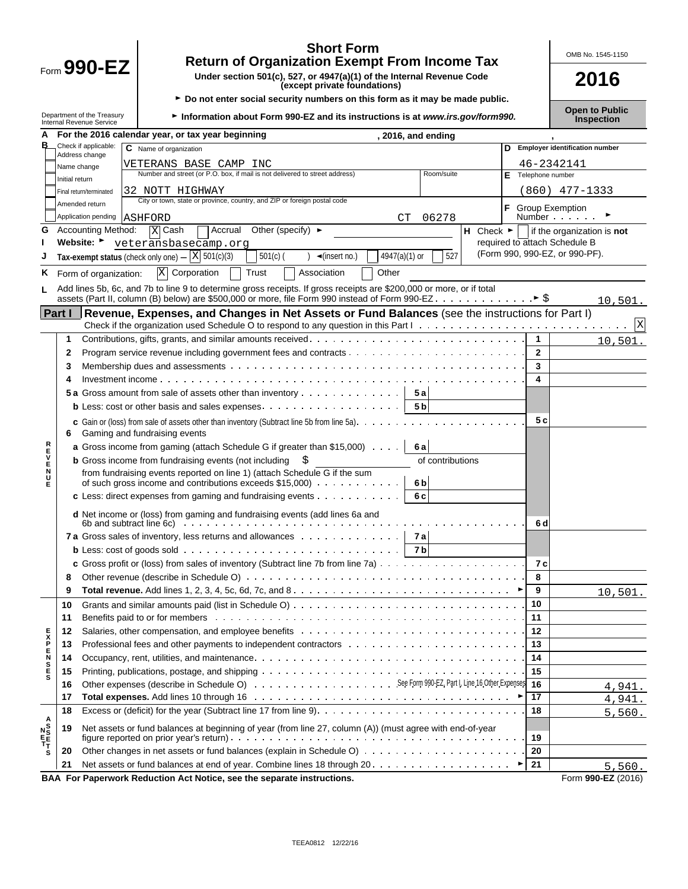|                                                                              |                                                                                                                                                                                                                          | <b>Return of Organization Exempt From Income Tax</b> | OMB No. 1545-1150                                                                                                                                                                                                             |                |                                                            |  |  |  |  |  |  |
|------------------------------------------------------------------------------|--------------------------------------------------------------------------------------------------------------------------------------------------------------------------------------------------------------------------|------------------------------------------------------|-------------------------------------------------------------------------------------------------------------------------------------------------------------------------------------------------------------------------------|----------------|------------------------------------------------------------|--|--|--|--|--|--|
| Form $990$ -EZ                                                               |                                                                                                                                                                                                                          |                                                      | Under section 501(c), 527, or 4947(a)(1) of the Internal Revenue Code<br>(except private foundations)                                                                                                                         | 2016           |                                                            |  |  |  |  |  |  |
|                                                                              | ► Do not enter social security numbers on this form as it may be made public.<br>Department of the Treasury<br>Information about Form 990-EZ and its instructions is at www.irs.gov/form990.<br>Internal Revenue Service |                                                      |                                                                                                                                                                                                                               |                |                                                            |  |  |  |  |  |  |
| For the 2016 calendar year, or tax year beginning<br>А<br>, 2016, and ending |                                                                                                                                                                                                                          |                                                      |                                                                                                                                                                                                                               |                |                                                            |  |  |  |  |  |  |
| в                                                                            |                                                                                                                                                                                                                          | Check if applicable:                                 | C Name of organization                                                                                                                                                                                                        |                | D Employer identification number                           |  |  |  |  |  |  |
|                                                                              |                                                                                                                                                                                                                          | Address change                                       | VETERANS BASE CAMP INC                                                                                                                                                                                                        |                | 46-2342141                                                 |  |  |  |  |  |  |
|                                                                              | Initial return                                                                                                                                                                                                           | Name change                                          | Number and street (or P.O. box, if mail is not delivered to street address)<br>Room/suite                                                                                                                                     | Е              | Telephone number                                           |  |  |  |  |  |  |
|                                                                              |                                                                                                                                                                                                                          | Final return/terminated                              | 32 NOTT HIGHWAY                                                                                                                                                                                                               |                | $(860)$ 477-1333                                           |  |  |  |  |  |  |
|                                                                              |                                                                                                                                                                                                                          | Amended return                                       | City or town, state or province, country, and ZIP or foreign postal code                                                                                                                                                      |                |                                                            |  |  |  |  |  |  |
|                                                                              |                                                                                                                                                                                                                          | Application pending                                  | 06278<br>ASHFORD<br>СT                                                                                                                                                                                                        |                | <b>F</b> Group Exemption<br>Number                         |  |  |  |  |  |  |
| G                                                                            |                                                                                                                                                                                                                          | <b>Accounting Method:</b>                            | Accrual<br>X Cash<br>Other (specify) $\blacktriangleright$                                                                                                                                                                    |                | H Check $\blacktriangleright$   if the organization is not |  |  |  |  |  |  |
|                                                                              |                                                                                                                                                                                                                          | Website: $\blacktriangleright$                       | veteransbasecamp.org                                                                                                                                                                                                          |                | required to attach Schedule B                              |  |  |  |  |  |  |
|                                                                              |                                                                                                                                                                                                                          |                                                      | Tax-exempt status (check only one) $-\sqrt{X}$ 501(c)(3)<br>527<br>$501(c)$ (<br>4947(a)(1) or<br>) $\blacktriangleleft$ (insert no.)                                                                                         |                | (Form 990, 990-EZ, or 990-PF).                             |  |  |  |  |  |  |
| Κ                                                                            |                                                                                                                                                                                                                          | Form of organization:                                | $\overline{X}$ Corporation<br>Trust<br>Association<br>Other                                                                                                                                                                   |                |                                                            |  |  |  |  |  |  |
|                                                                              |                                                                                                                                                                                                                          |                                                      | Add lines 5b, 6c, and 7b to line 9 to determine gross receipts. If gross receipts are \$200,000 or more, or if total                                                                                                          |                |                                                            |  |  |  |  |  |  |
|                                                                              |                                                                                                                                                                                                                          |                                                      |                                                                                                                                                                                                                               |                | 10,501.                                                    |  |  |  |  |  |  |
|                                                                              | Part I                                                                                                                                                                                                                   |                                                      | Revenue, Expenses, and Changes in Net Assets or Fund Balances (see the instructions for Part I)                                                                                                                               |                |                                                            |  |  |  |  |  |  |
|                                                                              |                                                                                                                                                                                                                          |                                                      |                                                                                                                                                                                                                               |                | $\mathbf{X}$                                               |  |  |  |  |  |  |
|                                                                              | 1                                                                                                                                                                                                                        |                                                      |                                                                                                                                                                                                                               | $\mathbf{1}$   | 10,501.                                                    |  |  |  |  |  |  |
|                                                                              | 2                                                                                                                                                                                                                        |                                                      |                                                                                                                                                                                                                               | $\overline{2}$ |                                                            |  |  |  |  |  |  |
|                                                                              | 3                                                                                                                                                                                                                        |                                                      |                                                                                                                                                                                                                               | 3              |                                                            |  |  |  |  |  |  |
|                                                                              | 4                                                                                                                                                                                                                        |                                                      |                                                                                                                                                                                                                               | 4              |                                                            |  |  |  |  |  |  |
|                                                                              |                                                                                                                                                                                                                          |                                                      | 5 a Gross amount from sale of assets other than inventory<br>5a                                                                                                                                                               |                |                                                            |  |  |  |  |  |  |
|                                                                              |                                                                                                                                                                                                                          |                                                      | 5 <sub>b</sub>                                                                                                                                                                                                                |                |                                                            |  |  |  |  |  |  |
|                                                                              | 6                                                                                                                                                                                                                        |                                                      | c Gain or (loss) from sale of assets other than inventory (Subtract line 5b from line 5a).<br>Gaming and fundraising events                                                                                                   | 5 c            |                                                            |  |  |  |  |  |  |
|                                                                              |                                                                                                                                                                                                                          |                                                      | 6a<br><b>a</b> Gross income from gaming (attach Schedule G if greater than \$15,000)                                                                                                                                          |                |                                                            |  |  |  |  |  |  |
|                                                                              |                                                                                                                                                                                                                          |                                                      | of contributions<br><b>b</b> Gross income from fundraising events (not including                                                                                                                                              |                |                                                            |  |  |  |  |  |  |
| ロマロヘロス<br>Ė                                                                  |                                                                                                                                                                                                                          |                                                      | from fundraising events reported on line 1) (attach Schedule G if the sum<br>of such gross income and contributions exceeds \$15,000)<br>6b                                                                                   |                |                                                            |  |  |  |  |  |  |
|                                                                              |                                                                                                                                                                                                                          |                                                      | c Less: direct expenses from gaming and fundraising events $\cdots$ ,<br>6 c                                                                                                                                                  |                |                                                            |  |  |  |  |  |  |
|                                                                              |                                                                                                                                                                                                                          |                                                      | d Net income or (loss) from gaming and fundraising events (add lines 6a and<br>6b and subtract line $6c$ $\ldots$ $\ldots$ $\ldots$ $\ldots$ $\ldots$ $\ldots$                                                                | 6 d            |                                                            |  |  |  |  |  |  |
|                                                                              |                                                                                                                                                                                                                          |                                                      | 7a Gross sales of inventory, less returns and allowances 7a                                                                                                                                                                   |                |                                                            |  |  |  |  |  |  |
|                                                                              |                                                                                                                                                                                                                          |                                                      | 7 <sub>b</sub>                                                                                                                                                                                                                |                |                                                            |  |  |  |  |  |  |
|                                                                              |                                                                                                                                                                                                                          |                                                      |                                                                                                                                                                                                                               | 7 с            |                                                            |  |  |  |  |  |  |
|                                                                              | 8                                                                                                                                                                                                                        |                                                      |                                                                                                                                                                                                                               | 8              |                                                            |  |  |  |  |  |  |
|                                                                              | 9                                                                                                                                                                                                                        |                                                      |                                                                                                                                                                                                                               | 9              | 10,501.                                                    |  |  |  |  |  |  |
|                                                                              | 10                                                                                                                                                                                                                       |                                                      |                                                                                                                                                                                                                               | 10             |                                                            |  |  |  |  |  |  |
|                                                                              | 11                                                                                                                                                                                                                       |                                                      | Benefits paid to or for members excession contained and contained a series of the series of the series of the series of the series of the series of the series of the series of the series of the series of the series of the | 11             |                                                            |  |  |  |  |  |  |
| E<br>X<br>P                                                                  | 12                                                                                                                                                                                                                       |                                                      |                                                                                                                                                                                                                               | 12             |                                                            |  |  |  |  |  |  |
|                                                                              | 13                                                                                                                                                                                                                       |                                                      |                                                                                                                                                                                                                               | 13             |                                                            |  |  |  |  |  |  |
| E<br>N                                                                       | 14                                                                                                                                                                                                                       |                                                      |                                                                                                                                                                                                                               | 14             |                                                            |  |  |  |  |  |  |
| S<br>E                                                                       | 15                                                                                                                                                                                                                       |                                                      | Printing, publications, postage, and shipping $\ldots \ldots \ldots \ldots \ldots \ldots \ldots \ldots \ldots \ldots \ldots \ldots \ldots$                                                                                    | 15             |                                                            |  |  |  |  |  |  |
|                                                                              | 16                                                                                                                                                                                                                       |                                                      |                                                                                                                                                                                                                               | 16             | 4,941.                                                     |  |  |  |  |  |  |
|                                                                              | 17                                                                                                                                                                                                                       |                                                      | Total expenses. Add lines 10 through 16 (a) and a series and a series of the series of the series of the series of the series of the series of the series of the series of the series of the series of the series of the seri | 17             | 4,941.                                                     |  |  |  |  |  |  |
|                                                                              | 18                                                                                                                                                                                                                       |                                                      |                                                                                                                                                                                                                               | 18             | 5,560.                                                     |  |  |  |  |  |  |
|                                                                              | 19                                                                                                                                                                                                                       |                                                      | Net assets or fund balances at beginning of year (from line 27, column (A)) (must agree with end-of-year                                                                                                                      | 19             |                                                            |  |  |  |  |  |  |
| s                                                                            | 20                                                                                                                                                                                                                       |                                                      |                                                                                                                                                                                                                               | 20             |                                                            |  |  |  |  |  |  |
|                                                                              | 21                                                                                                                                                                                                                       |                                                      |                                                                                                                                                                                                                               | 21             | 5,560.                                                     |  |  |  |  |  |  |
|                                                                              |                                                                                                                                                                                                                          |                                                      | BAA For Paperwork Reduction Act Notice, see the separate instructions.                                                                                                                                                        |                | Form 990-EZ (2016)                                         |  |  |  |  |  |  |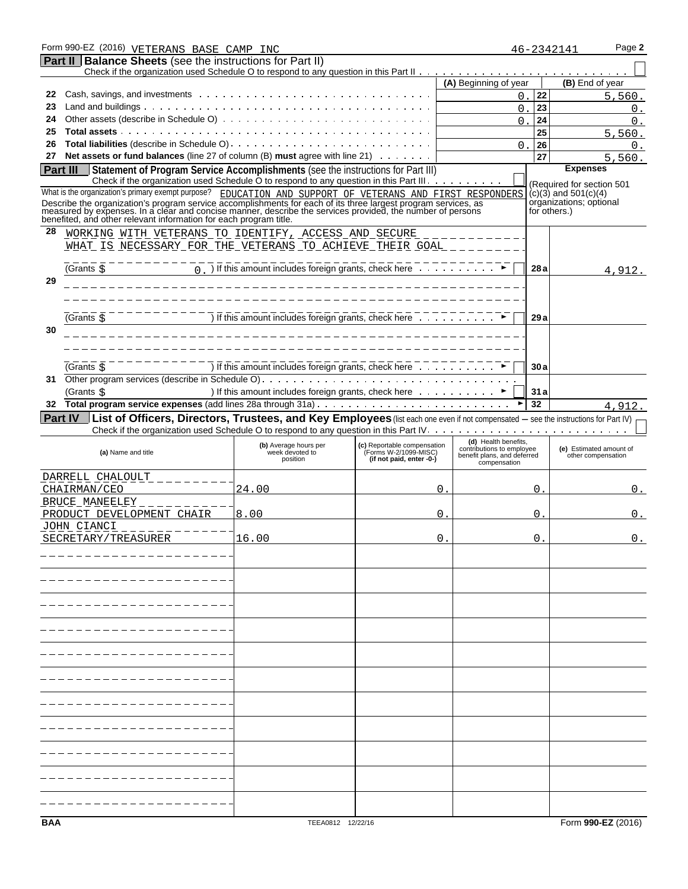| Form 990-EZ (2016) VETERANS BASE CAMP INC                                                                                                                                                                                                                                                                                                                                                                      |                                                                                                                                   |                                                      |                                                                                  |      | Page 2<br>46-2342141                                                                             |
|----------------------------------------------------------------------------------------------------------------------------------------------------------------------------------------------------------------------------------------------------------------------------------------------------------------------------------------------------------------------------------------------------------------|-----------------------------------------------------------------------------------------------------------------------------------|------------------------------------------------------|----------------------------------------------------------------------------------|------|--------------------------------------------------------------------------------------------------|
| <b>Part II   Balance Sheets</b> (see the instructions for Part II)                                                                                                                                                                                                                                                                                                                                             |                                                                                                                                   |                                                      |                                                                                  |      |                                                                                                  |
|                                                                                                                                                                                                                                                                                                                                                                                                                |                                                                                                                                   |                                                      | (A) Beginning of year                                                            |      | (B) End of year                                                                                  |
| 22                                                                                                                                                                                                                                                                                                                                                                                                             |                                                                                                                                   |                                                      | 0.                                                                               | 22   | 5,560.                                                                                           |
| 23                                                                                                                                                                                                                                                                                                                                                                                                             |                                                                                                                                   |                                                      | 0                                                                                | 23   | 0.                                                                                               |
| 24                                                                                                                                                                                                                                                                                                                                                                                                             |                                                                                                                                   |                                                      | $\Omega$                                                                         | 24   | $\Omega$ .                                                                                       |
| 25                                                                                                                                                                                                                                                                                                                                                                                                             |                                                                                                                                   |                                                      |                                                                                  | 25   | 5,560.                                                                                           |
| 26                                                                                                                                                                                                                                                                                                                                                                                                             |                                                                                                                                   |                                                      | $\Omega$                                                                         | 26   | $\Omega$ .                                                                                       |
| 27                                                                                                                                                                                                                                                                                                                                                                                                             | Net assets or fund balances (line 27 of column (B) must agree with line 21) $\ldots \ldots$                                       |                                                      |                                                                                  | 27   | 5,560.                                                                                           |
| Part III                                                                                                                                                                                                                                                                                                                                                                                                       | Statement of Program Service Accomplishments (see the instructions for Part III)                                                  |                                                      |                                                                                  |      | <b>Expenses</b>                                                                                  |
|                                                                                                                                                                                                                                                                                                                                                                                                                | Check if the organization used Schedule O to respond to any question in this Part III.                                            |                                                      |                                                                                  |      |                                                                                                  |
| What is the organization's primary exempt purpose? EDUCATION AND SUPPORT OF VETERANS AND FIRST RESPONDERS<br>Describe the organization's program service accomplishments for each of its three largest program services, as<br>measured by expenses. In a clear and concise manner, describe the services provided, the number of persons<br>benefited, and other relevant information for each program title. |                                                                                                                                   |                                                      |                                                                                  |      | (Required for section 501<br>$(c)(3)$ and $501(c)(4)$<br>organizations, optional<br>for others.) |
| 28                                                                                                                                                                                                                                                                                                                                                                                                             | WORKING WITH VETERANS TO IDENTIFY, ACCESS AND SECURE<br><u>WHAT IS NECESSARY FOR THE VETERANS TO ACHIEVE THEIR GOAL ____</u>      |                                                      |                                                                                  |      |                                                                                                  |
| (Grants \$                                                                                                                                                                                                                                                                                                                                                                                                     | $\overline{0}$ ) If this amount includes foreign grants, check here $\overline{1}$                                                |                                                      |                                                                                  | 28 a | 4,912.                                                                                           |
| 29                                                                                                                                                                                                                                                                                                                                                                                                             |                                                                                                                                   |                                                      |                                                                                  |      |                                                                                                  |
|                                                                                                                                                                                                                                                                                                                                                                                                                | ) If this amount includes foreign grants, check here                                                                              |                                                      |                                                                                  |      |                                                                                                  |
| (Grants \$<br>30                                                                                                                                                                                                                                                                                                                                                                                               |                                                                                                                                   |                                                      |                                                                                  | 29a  |                                                                                                  |
|                                                                                                                                                                                                                                                                                                                                                                                                                |                                                                                                                                   |                                                      |                                                                                  |      |                                                                                                  |
| (Grants <b>☆</b>                                                                                                                                                                                                                                                                                                                                                                                               | If this amount includes foreign grants, check here                                                                                |                                                      |                                                                                  | 30a  |                                                                                                  |
| 31                                                                                                                                                                                                                                                                                                                                                                                                             | ) If this amount includes foreign grants, check here ▶                                                                            |                                                      |                                                                                  | 31a  |                                                                                                  |
| (Grants \$<br>32                                                                                                                                                                                                                                                                                                                                                                                               |                                                                                                                                   |                                                      |                                                                                  | 32   |                                                                                                  |
|                                                                                                                                                                                                                                                                                                                                                                                                                |                                                                                                                                   |                                                      |                                                                                  |      | 4,912.                                                                                           |
| Part IV   List of Officers, Directors, Trustees, and Key Employees (list each one even if not compensated - see the instructions for Part IV)                                                                                                                                                                                                                                                                  |                                                                                                                                   |                                                      |                                                                                  |      |                                                                                                  |
| (a) Name and title                                                                                                                                                                                                                                                                                                                                                                                             | Check if the organization used Schedule O to respond to any question in this Part IV.<br>(b) Average hours per<br>week devoted to | (c) Reportable compensation<br>(Forms W-2/1099-MISC) | (d) Health benefits,<br>contributions to employee<br>benefit plans, and deferred |      | (e) Estimated amount of<br>other compensation                                                    |
|                                                                                                                                                                                                                                                                                                                                                                                                                | position                                                                                                                          | (if not paid, enter -0-)                             | compensation                                                                     |      |                                                                                                  |
| DARRELL CHALOULT                                                                                                                                                                                                                                                                                                                                                                                               |                                                                                                                                   |                                                      |                                                                                  |      |                                                                                                  |
| CHAIRMAN/CEO                                                                                                                                                                                                                                                                                                                                                                                                   | 24.00                                                                                                                             |                                                      | 0                                                                                | 0    | 0.                                                                                               |
| BRUCE MANEELEY<br>PRODUCT DEVELOPMENT CHAIR                                                                                                                                                                                                                                                                                                                                                                    | 8.00                                                                                                                              |                                                      | 0                                                                                | 0    | 0.                                                                                               |
| <u>JOHN CIANCI</u>                                                                                                                                                                                                                                                                                                                                                                                             |                                                                                                                                   |                                                      |                                                                                  |      |                                                                                                  |
| SECRETARY/TREASURER                                                                                                                                                                                                                                                                                                                                                                                            | 16.00                                                                                                                             |                                                      | 0                                                                                | 0    | 0.                                                                                               |
|                                                                                                                                                                                                                                                                                                                                                                                                                |                                                                                                                                   |                                                      |                                                                                  |      |                                                                                                  |
|                                                                                                                                                                                                                                                                                                                                                                                                                |                                                                                                                                   |                                                      |                                                                                  |      |                                                                                                  |
|                                                                                                                                                                                                                                                                                                                                                                                                                |                                                                                                                                   |                                                      |                                                                                  |      |                                                                                                  |
|                                                                                                                                                                                                                                                                                                                                                                                                                |                                                                                                                                   |                                                      |                                                                                  |      |                                                                                                  |
|                                                                                                                                                                                                                                                                                                                                                                                                                |                                                                                                                                   |                                                      |                                                                                  |      |                                                                                                  |
|                                                                                                                                                                                                                                                                                                                                                                                                                |                                                                                                                                   |                                                      |                                                                                  |      |                                                                                                  |
|                                                                                                                                                                                                                                                                                                                                                                                                                |                                                                                                                                   |                                                      |                                                                                  |      |                                                                                                  |
|                                                                                                                                                                                                                                                                                                                                                                                                                |                                                                                                                                   |                                                      |                                                                                  |      |                                                                                                  |
|                                                                                                                                                                                                                                                                                                                                                                                                                |                                                                                                                                   |                                                      |                                                                                  |      |                                                                                                  |
|                                                                                                                                                                                                                                                                                                                                                                                                                |                                                                                                                                   |                                                      |                                                                                  |      |                                                                                                  |
|                                                                                                                                                                                                                                                                                                                                                                                                                |                                                                                                                                   |                                                      |                                                                                  |      |                                                                                                  |
|                                                                                                                                                                                                                                                                                                                                                                                                                |                                                                                                                                   |                                                      |                                                                                  |      |                                                                                                  |
|                                                                                                                                                                                                                                                                                                                                                                                                                |                                                                                                                                   |                                                      |                                                                                  |      |                                                                                                  |
|                                                                                                                                                                                                                                                                                                                                                                                                                |                                                                                                                                   |                                                      |                                                                                  |      |                                                                                                  |
| <b>BAA</b>                                                                                                                                                                                                                                                                                                                                                                                                     | TEEA0812 12/22/16                                                                                                                 |                                                      |                                                                                  |      | Form 990-EZ (2016)                                                                               |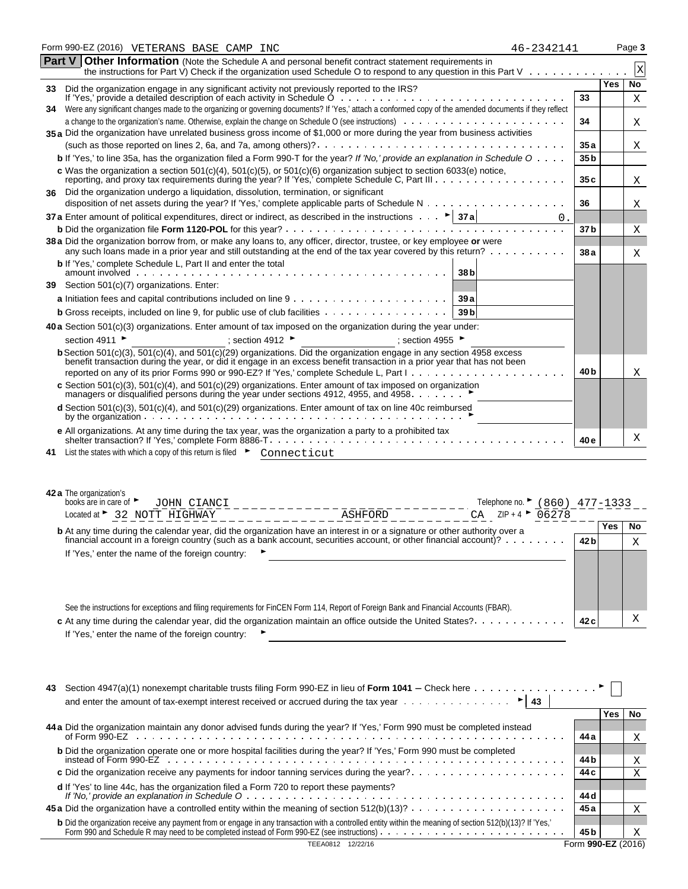|     | Form 990-EZ (2016) VETERANS BASE CAMP INC<br>46-2342141                                                                                                                                                                                                                                                                                                                                                                                                                                                                                             |                 |            | Page 3                  |
|-----|-----------------------------------------------------------------------------------------------------------------------------------------------------------------------------------------------------------------------------------------------------------------------------------------------------------------------------------------------------------------------------------------------------------------------------------------------------------------------------------------------------------------------------------------------------|-----------------|------------|-------------------------|
|     | Part V Other Information (Note the Schedule A and personal benefit contract statement requirements in<br>the instructions for Part V) Check if the organization used Schedule O to respond to any question in this Part V                                                                                                                                                                                                                                                                                                                           |                 |            | $\overline{\mathbf{X}}$ |
| 33. | Did the organization engage in any significant activity not previously reported to the IRS?                                                                                                                                                                                                                                                                                                                                                                                                                                                         |                 | <b>Yes</b> | <b>No</b>               |
|     |                                                                                                                                                                                                                                                                                                                                                                                                                                                                                                                                                     | 33              |            | Χ                       |
| 34  | Were any significant changes made to the organizing or governing documents? If 'Yes,' attach a conformed copy of the amended documents if they reflect                                                                                                                                                                                                                                                                                                                                                                                              |                 |            |                         |
|     |                                                                                                                                                                                                                                                                                                                                                                                                                                                                                                                                                     | 34              |            | X                       |
|     | 35 a Did the organization have unrelated business gross income of \$1,000 or more during the year from business activities                                                                                                                                                                                                                                                                                                                                                                                                                          |                 |            |                         |
|     |                                                                                                                                                                                                                                                                                                                                                                                                                                                                                                                                                     | 35 a            |            | Χ                       |
|     | <b>b</b> If 'Yes,' to line 35a, has the organization filed a Form 990-T for the year? If 'No,' provide an explanation in Schedule $0 \ldots$ .                                                                                                                                                                                                                                                                                                                                                                                                      | 35 b            |            |                         |
|     | c Was the organization a section 501(c)(4), 501(c)(5), or 501(c)(6) organization subject to section 6033(e) notice,                                                                                                                                                                                                                                                                                                                                                                                                                                 | 35c             |            | Χ                       |
|     | 36 Did the organization undergo a liquidation, dissolution, termination, or significant                                                                                                                                                                                                                                                                                                                                                                                                                                                             |                 |            |                         |
|     |                                                                                                                                                                                                                                                                                                                                                                                                                                                                                                                                                     | 36              |            | Χ                       |
|     | 37 a Enter amount of political expenditures, direct or indirect, as described in the instructions $\ldots$ $\blacktriangleright$ 37 a                                                                                                                                                                                                                                                                                                                                                                                                               |                 |            |                         |
|     |                                                                                                                                                                                                                                                                                                                                                                                                                                                                                                                                                     | 37 <sub>b</sub> |            | Χ                       |
|     | 38 a Did the organization borrow from, or make any loans to, any officer, director, trustee, or key employee or were<br>any such loans made in a prior year and still outstanding at the end of the tax year covered by this return?                                                                                                                                                                                                                                                                                                                | 38a             |            | X                       |
|     | <b>b</b> If 'Yes,' complete Schedule L, Part II and enter the total<br>38 <sub>b</sub>                                                                                                                                                                                                                                                                                                                                                                                                                                                              |                 |            |                         |
|     | 39 Section 501(c)(7) organizations. Enter:                                                                                                                                                                                                                                                                                                                                                                                                                                                                                                          |                 |            |                         |
|     | 39a                                                                                                                                                                                                                                                                                                                                                                                                                                                                                                                                                 |                 |            |                         |
|     | 39 <sub>b</sub><br><b>b</b> Gross receipts, included on line 9, for public use of club facilities                                                                                                                                                                                                                                                                                                                                                                                                                                                   |                 |            |                         |
|     | 40 a Section 501(c)(3) organizations. Enter amount of tax imposed on the organization during the year under:                                                                                                                                                                                                                                                                                                                                                                                                                                        |                 |            |                         |
|     | section 4911 ▶<br>; section 4912<br>: section 4955 $\blacktriangleright$                                                                                                                                                                                                                                                                                                                                                                                                                                                                            |                 |            |                         |
|     | <b>b</b> Section 501(c)(3), $\frac{501(c)(4)}{2}$ , and $\frac{501(c)(29)}{2}$ organizations. Did the organization engage in any section 4958 excess                                                                                                                                                                                                                                                                                                                                                                                                |                 |            |                         |
|     | benefit transaction during the year, or did it engage in an excess benefit transaction in a prior year that has not been                                                                                                                                                                                                                                                                                                                                                                                                                            | 40 b            |            | Χ                       |
|     | c Section 501(c)(3), 501(c)(4), and 501(c)(29) organizations. Enter amount of tax imposed on organization                                                                                                                                                                                                                                                                                                                                                                                                                                           |                 |            |                         |
|     | managers or disqualified persons during the year under sections 4912, 4955, and 4958. ►                                                                                                                                                                                                                                                                                                                                                                                                                                                             |                 |            |                         |
|     | d Section 501(c)(3), 501(c)(4), and 501(c)(29) organizations. Enter amount of tax on line 40c reimbursed                                                                                                                                                                                                                                                                                                                                                                                                                                            |                 |            |                         |
|     | e All organizations. At any time during the tax year, was the organization a party to a prohibited tax                                                                                                                                                                                                                                                                                                                                                                                                                                              | 40 e            |            | Χ                       |
| 41. | List the states with which a copy of this return is filed Connecticut                                                                                                                                                                                                                                                                                                                                                                                                                                                                               |                 |            |                         |
|     | 42 a The organization's<br>books are in care of<br>Telephone no. $\blacktriangleright$ (860) 477-1333<br>JOHN CIANCI<br>_____________________<br>$ZIP + 4$<br>06278<br>Located at > 32 NOTT HIGHWAY<br>CA<br>----------ASHFORD<br><b>b</b> At any time during the calendar year, did the organization have an interest in or a signature or other authority over a<br>financial account in a foreign country (such as a bank account, securities account, or other financial account)? $\cdots$<br>If 'Yes,' enter the name of the foreign country: | 42 bl           | Yes        | No<br>Χ                 |
|     | See the instructions for exceptions and filing requirements for FinCEN Form 114, Report of Foreign Bank and Financial Accounts (FBAR).                                                                                                                                                                                                                                                                                                                                                                                                              |                 |            | Χ                       |
|     | c At any time during the calendar year, did the organization maintain an office outside the United States?<br>If 'Yes,' enter the name of the foreign country:                                                                                                                                                                                                                                                                                                                                                                                      | 42 c            |            |                         |

| 43.<br>and enter the amount of tax-exempt interest received or accrued during the tax year $\dots \dots \dots \dots$                                                                                                              |                 |     |     |  |  |
|-----------------------------------------------------------------------------------------------------------------------------------------------------------------------------------------------------------------------------------|-----------------|-----|-----|--|--|
|                                                                                                                                                                                                                                   |                 | Yes | No. |  |  |
| 44 a Did the organization maintain any donor advised funds during the year? If 'Yes,' Form 990 must be completed instead                                                                                                          | 44 a            |     | X   |  |  |
| <b>b</b> Did the organization operate one or more hospital facilities during the year? If 'Yes,' Form 990 must be completed                                                                                                       |                 |     |     |  |  |
|                                                                                                                                                                                                                                   | 44 b            |     | Χ   |  |  |
| c Did the organization receive any payments for indoor tanning services during the year?<br>d If 'Yes' to line 44c, has the organization filed a Form 720 to report these payments?                                               | 44 c            |     | Χ   |  |  |
|                                                                                                                                                                                                                                   | 44 d            |     |     |  |  |
|                                                                                                                                                                                                                                   | 45 a            |     | X   |  |  |
| b Did the organization receive any payment from or engage in any transaction with a controlled entity within the meaning of section 512(b)(13)? If 'Yes,'<br>Form 990 and Schedule R may need to be completed instead of Form 990 | 45 <sub>b</sub> |     | X   |  |  |
| Form 990-EZ (2016)<br>12/22/16<br>TEEA0812                                                                                                                                                                                        |                 |     |     |  |  |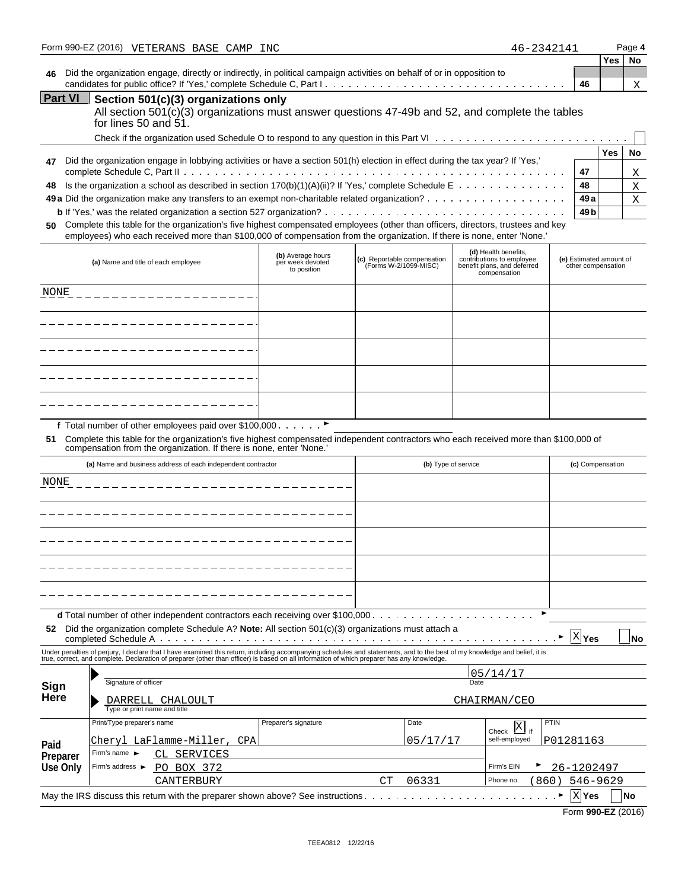|                | Form 990-EZ (2016) VETERANS BASE CAMP INC                                                                                     | 46-2342141 |  |            | Page 4    |
|----------------|-------------------------------------------------------------------------------------------------------------------------------|------------|--|------------|-----------|
|                |                                                                                                                               |            |  | <b>Yes</b> | <b>No</b> |
| 46             | Did the organization engage, directly or indirectly, in political campaign activities on behalf of or in opposition to        |            |  |            |           |
|                | 46                                                                                                                            |            |  |            |           |
| <b>Part VI</b> | Section 501(c)(3) organizations only                                                                                          |            |  |            |           |
|                | All section 501(c)(3) organizations must answer questions 47-49b and 52, and complete the tables<br>for lines $50$ and $51$ . |            |  |            |           |
|                |                                                                                                                               |            |  |            |           |

|    |                                                                                                                               |       | Yes | <b>No</b>    |
|----|-------------------------------------------------------------------------------------------------------------------------------|-------|-----|--------------|
| 47 | Did the organization engage in lobbying activities or have a section 501(h) election in effect during the tax year? If 'Yes,' | -47   |     | $\mathbf{X}$ |
|    | 48 Is the organization a school as described in section 170(b)(1)(A)(ii)? If 'Yes,' complete Schedule E                       | 48    |     | $\mathbf{X}$ |
|    |                                                                                                                               | 49 al |     | X            |
|    |                                                                                                                               |       |     |              |
|    |                                                                                                                               |       |     |              |

**50** Complete this table for the organization's five highest compensated employees (other than officers, directors, trustees and key employees) who each received more than \$100,000 of compensation from the organization. If there is none, enter 'None.'

| (a) Name and title of each employee | (b) Average hours<br>per week devoted<br>to position | (c) Reportable compensation<br>(Forms W-2/1099-MISC) | (d) Health benefits,<br>contributions to employee<br>benefit plans, and deferred<br>compensation | (e) Estimated amount of<br>other compensation |
|-------------------------------------|------------------------------------------------------|------------------------------------------------------|--------------------------------------------------------------------------------------------------|-----------------------------------------------|
| NONE                                |                                                      |                                                      |                                                                                                  |                                               |
|                                     |                                                      |                                                      |                                                                                                  |                                               |
|                                     |                                                      |                                                      |                                                                                                  |                                               |
|                                     |                                                      |                                                      |                                                                                                  |                                               |
|                                     |                                                      |                                                      |                                                                                                  |                                               |

f Total number of other employees paid over \$100,000  $\ldots \ldots$ 

**51** Complete this table for the organization's five highest compensated independent contractors who each received more than \$100,000 of compensation from the organization. If there is none, enter 'None.'

|             | (a) Name and business address of each independent contractor                                                                                                                                                                      |                      | (b) Type of service |              | (c) Compensation        |                    |           |
|-------------|-----------------------------------------------------------------------------------------------------------------------------------------------------------------------------------------------------------------------------------|----------------------|---------------------|--------------|-------------------------|--------------------|-----------|
| <b>NONE</b> |                                                                                                                                                                                                                                   |                      |                     |              |                         |                    |           |
|             |                                                                                                                                                                                                                                   |                      |                     |              |                         |                    |           |
|             |                                                                                                                                                                                                                                   |                      |                     |              |                         |                    |           |
|             |                                                                                                                                                                                                                                   |                      |                     |              |                         |                    |           |
|             |                                                                                                                                                                                                                                   |                      |                     |              |                         |                    |           |
|             |                                                                                                                                                                                                                                   |                      |                     |              |                         |                    |           |
| 52          | Did the organization complete Schedule A? Note: All section $501(c)(3)$ organizations must attach a                                                                                                                               |                      |                     |              |                         | XYes               | <b>No</b> |
|             | Under penalties of perjury, I declare that I have examined this return, including accompanying schedules and statements, and to the best of my knowledge and belief, it is<br>true, correct, and complete. Declaration of prepare |                      |                     |              |                         |                    |           |
|             |                                                                                                                                                                                                                                   |                      |                     |              | 05/14/17                |                    |           |
| Sign        | Signature of officer                                                                                                                                                                                                              |                      | Date                |              |                         |                    |           |
| Here        | DARRELL CHALOULT                                                                                                                                                                                                                  |                      |                     | CHAIRMAN/CEO |                         |                    |           |
|             | Type or print name and title                                                                                                                                                                                                      |                      |                     |              |                         |                    |           |
|             | Print/Type preparer's name                                                                                                                                                                                                        | Preparer's signature |                     | Date         | Check $\overline{X}$ if | PTIN               |           |
| Paid        | Chervl LaFlamme-Miller, CPA                                                                                                                                                                                                       |                      |                     | 05/17/17     | self-employed           | P01281163          |           |
| Preparer    | Firm's name $\blacktriangleright$<br>CL SERVICES                                                                                                                                                                                  |                      |                     |              |                         |                    |           |
| Use Only    | Firm's address ►<br>PO BOX 372                                                                                                                                                                                                    |                      |                     |              | Firm's EIN              | 26-1202497         |           |
|             | CANTERBURY                                                                                                                                                                                                                        |                      | CT                  | 06331        | Phone no.<br>860)       | 546-9629           |           |
|             |                                                                                                                                                                                                                                   |                      |                     |              |                         | X Yes<br><b>No</b> |           |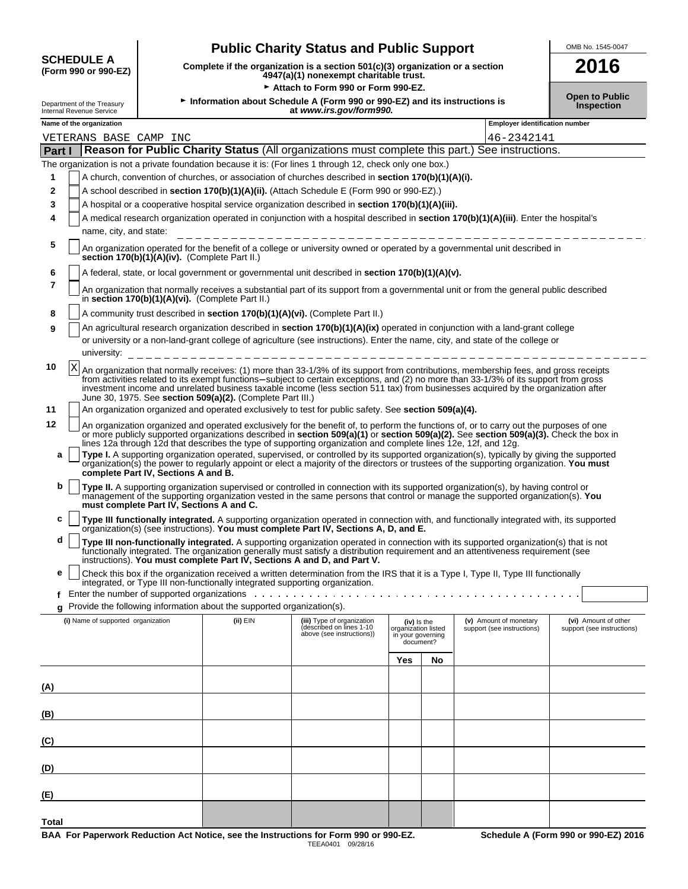# **SCHEDULE A** (Form 990 or 990-EZ)

## **Public Charity Status and Public Support** <u> **OMB No. 1545-0047**</u>

**(Form 990 or 990-EZ) Complete if the organization is a section 501(c)(3) organization or a section 4947(a)(1) nonexempt charitable trust. 2016**

Attach to Form 990 or Form 990-EZ.

| Open to Pu        |
|-------------------|
| <b>Inspection</b> |

| Department of the Treasury<br>Internal Revenue Service | Information about Schedule A (Form 990 or 990-EZ) and its instructions is<br>at www.irs.gov/form990.                                                                       |                                                                                 |                                                                                                                                                                                                                                |                                                                      |    |                                                                                                                                                                                                                                                                                                                                                                                                                                                                                                                                                                           | <b>Open to Public</b><br>Inspection                |  |  |  |  |
|--------------------------------------------------------|----------------------------------------------------------------------------------------------------------------------------------------------------------------------------|---------------------------------------------------------------------------------|--------------------------------------------------------------------------------------------------------------------------------------------------------------------------------------------------------------------------------|----------------------------------------------------------------------|----|---------------------------------------------------------------------------------------------------------------------------------------------------------------------------------------------------------------------------------------------------------------------------------------------------------------------------------------------------------------------------------------------------------------------------------------------------------------------------------------------------------------------------------------------------------------------------|----------------------------------------------------|--|--|--|--|
| Name of the organization                               |                                                                                                                                                                            |                                                                                 |                                                                                                                                                                                                                                |                                                                      |    | <b>Employer identification number</b>                                                                                                                                                                                                                                                                                                                                                                                                                                                                                                                                     |                                                    |  |  |  |  |
| VETERANS BASE CAMP INC<br>46-2342141                   |                                                                                                                                                                            |                                                                                 |                                                                                                                                                                                                                                |                                                                      |    |                                                                                                                                                                                                                                                                                                                                                                                                                                                                                                                                                                           |                                                    |  |  |  |  |
| Part I                                                 | Reason for Public Charity Status (All organizations must complete this part.) See instructions.                                                                            |                                                                                 |                                                                                                                                                                                                                                |                                                                      |    |                                                                                                                                                                                                                                                                                                                                                                                                                                                                                                                                                                           |                                                    |  |  |  |  |
|                                                        | The organization is not a private foundation because it is: (For lines 1 through 12, check only one box.)                                                                  |                                                                                 |                                                                                                                                                                                                                                |                                                                      |    |                                                                                                                                                                                                                                                                                                                                                                                                                                                                                                                                                                           |                                                    |  |  |  |  |
| 1                                                      | A church, convention of churches, or association of churches described in section 170(b)(1)(A)(i).                                                                         |                                                                                 |                                                                                                                                                                                                                                |                                                                      |    |                                                                                                                                                                                                                                                                                                                                                                                                                                                                                                                                                                           |                                                    |  |  |  |  |
| $\mathbf{2}$                                           | A school described in section 170(b)(1)(A)(ii). (Attach Schedule E (Form 990 or 990-EZ).)                                                                                  |                                                                                 |                                                                                                                                                                                                                                |                                                                      |    |                                                                                                                                                                                                                                                                                                                                                                                                                                                                                                                                                                           |                                                    |  |  |  |  |
|                                                        | 3<br>A hospital or a cooperative hospital service organization described in section 170(b)(1)(A)(iii).                                                                     |                                                                                 |                                                                                                                                                                                                                                |                                                                      |    |                                                                                                                                                                                                                                                                                                                                                                                                                                                                                                                                                                           |                                                    |  |  |  |  |
| 4                                                      | A medical research organization operated in conjunction with a hospital described in section 170(b)(1)(A)(iii). Enter the hospital's<br>name, city, and state:             |                                                                                 |                                                                                                                                                                                                                                |                                                                      |    |                                                                                                                                                                                                                                                                                                                                                                                                                                                                                                                                                                           |                                                    |  |  |  |  |
| 5                                                      | An organization operated for the benefit of a college or university owned or operated by a governmental unit described in<br>section 170(b)(1)(A)(iv). (Complete Part II.) |                                                                                 |                                                                                                                                                                                                                                |                                                                      |    |                                                                                                                                                                                                                                                                                                                                                                                                                                                                                                                                                                           |                                                    |  |  |  |  |
| 6                                                      |                                                                                                                                                                            |                                                                                 | A federal, state, or local government or governmental unit described in section 170(b)(1)(A)(v).                                                                                                                               |                                                                      |    |                                                                                                                                                                                                                                                                                                                                                                                                                                                                                                                                                                           |                                                    |  |  |  |  |
| 7                                                      |                                                                                                                                                                            | in section 170(b)(1)(A)(vi). (Complete Part II.)                                |                                                                                                                                                                                                                                |                                                                      |    | An organization that normally receives a substantial part of its support from a governmental unit or from the general public described                                                                                                                                                                                                                                                                                                                                                                                                                                    |                                                    |  |  |  |  |
| 8                                                      |                                                                                                                                                                            |                                                                                 | A community trust described in section 170(b)(1)(A)(vi). (Complete Part II.)                                                                                                                                                   |                                                                      |    |                                                                                                                                                                                                                                                                                                                                                                                                                                                                                                                                                                           |                                                    |  |  |  |  |
| 9                                                      |                                                                                                                                                                            |                                                                                 |                                                                                                                                                                                                                                |                                                                      |    | An agricultural research organization described in section 170(b)(1)(A)(ix) operated in conjunction with a land-grant college                                                                                                                                                                                                                                                                                                                                                                                                                                             |                                                    |  |  |  |  |
| university:                                            |                                                                                                                                                                            |                                                                                 |                                                                                                                                                                                                                                |                                                                      |    | or university or a non-land-grant college of agriculture (see instructions). Enter the name, city, and state of the college or                                                                                                                                                                                                                                                                                                                                                                                                                                            |                                                    |  |  |  |  |
| 10<br>X                                                |                                                                                                                                                                            | June 30, 1975. See section 509(a)(2). (Complete Part III.)                      |                                                                                                                                                                                                                                |                                                                      |    | An organization that normally receives: (1) more than 33-1/3% of its support from contributions, membership fees, and gross receipts<br>from activities related to its exempt functions-subject to certain exceptions, and (2) no more than 33-1/3% of its support from gross<br>investment income and unrelated business taxable income (less section 511 tax) from businesses acquired by the organization after                                                                                                                                                        |                                                    |  |  |  |  |
| 11                                                     |                                                                                                                                                                            |                                                                                 | An organization organized and operated exclusively to test for public safety. See section 509(a)(4).                                                                                                                           |                                                                      |    |                                                                                                                                                                                                                                                                                                                                                                                                                                                                                                                                                                           |                                                    |  |  |  |  |
| 12<br>a                                                | complete Part IV, Sections A and B.                                                                                                                                        |                                                                                 | lines 12a through 12d that describes the type of supporting organization and complete lines 12e, 12f, and 12g.                                                                                                                 |                                                                      |    | An organization organized and operated exclusively for the benefit of, to perform the functions of, or to carry out the purposes of one<br>or more publicly supported organizations described in section 509(a)(1) or section 509(a)(2). See section 509(a)(3). Check the box in<br>Type I. A supporting organization operated, supervised, or controlled by its supported organization(s), typically by giving the supported<br>organization(s) the power to regularly appoint or elect a majority of the directors or trustees of the supporting organization. You must |                                                    |  |  |  |  |
| b                                                      | must complete Part IV, Sections A and C.                                                                                                                                   |                                                                                 |                                                                                                                                                                                                                                |                                                                      |    | Type II. A supporting organization supervised or controlled in connection with its supported organization(s), by having control or<br>management of the supporting organization vested in the same persons that control or manage the supported organization(s). You                                                                                                                                                                                                                                                                                                      |                                                    |  |  |  |  |
| c                                                      |                                                                                                                                                                            |                                                                                 | organization(s) (see instructions). You must complete Part IV, Sections A, D, and E.                                                                                                                                           |                                                                      |    | Type III functionally integrated. A supporting organization operated in connection with, and functionally integrated with, its supported                                                                                                                                                                                                                                                                                                                                                                                                                                  |                                                    |  |  |  |  |
| d                                                      |                                                                                                                                                                            |                                                                                 | instructions). You must complete Part IV, Sections A and D, and Part V.                                                                                                                                                        |                                                                      |    | Type III non-functionally integrated. A supporting organization operated in connection with its supported organization(s) that is not<br>functionally integrated. The organization generally must satisfy a distribution requirement and an attentiveness requirement (see                                                                                                                                                                                                                                                                                                |                                                    |  |  |  |  |
| е                                                      |                                                                                                                                                                            | integrated, or Type III non-functionally integrated supporting organization.    |                                                                                                                                                                                                                                |                                                                      |    | Check this box if the organization received a written determination from the IRS that it is a Type I, Type II, Type III functionally                                                                                                                                                                                                                                                                                                                                                                                                                                      |                                                    |  |  |  |  |
|                                                        |                                                                                                                                                                            |                                                                                 | Enter the number of supported organizations enters and service in the number of supported organizations enters and service in the number of supported organizations are entered in the number of the number of the number of t |                                                                      |    |                                                                                                                                                                                                                                                                                                                                                                                                                                                                                                                                                                           |                                                    |  |  |  |  |
|                                                        |                                                                                                                                                                            | <b>a</b> Provide the following information about the supported organization(s). |                                                                                                                                                                                                                                |                                                                      |    |                                                                                                                                                                                                                                                                                                                                                                                                                                                                                                                                                                           |                                                    |  |  |  |  |
| (i) Name of supported organization                     |                                                                                                                                                                            | (ii) EIN                                                                        | (iii) Type of organization<br>described on lines 1-10<br>above (see instructions))                                                                                                                                             | (iv) is the<br>organization listed<br>in your governing<br>document? |    | (v) Amount of monetary<br>support (see instructions)                                                                                                                                                                                                                                                                                                                                                                                                                                                                                                                      | (vi) Amount of other<br>support (see instructions) |  |  |  |  |
|                                                        |                                                                                                                                                                            |                                                                                 |                                                                                                                                                                                                                                | Yes                                                                  | No |                                                                                                                                                                                                                                                                                                                                                                                                                                                                                                                                                                           |                                                    |  |  |  |  |
|                                                        |                                                                                                                                                                            |                                                                                 |                                                                                                                                                                                                                                |                                                                      |    |                                                                                                                                                                                                                                                                                                                                                                                                                                                                                                                                                                           |                                                    |  |  |  |  |
| (A)                                                    |                                                                                                                                                                            |                                                                                 |                                                                                                                                                                                                                                |                                                                      |    |                                                                                                                                                                                                                                                                                                                                                                                                                                                                                                                                                                           |                                                    |  |  |  |  |
| (B)                                                    |                                                                                                                                                                            |                                                                                 |                                                                                                                                                                                                                                |                                                                      |    |                                                                                                                                                                                                                                                                                                                                                                                                                                                                                                                                                                           |                                                    |  |  |  |  |
| (C)                                                    |                                                                                                                                                                            |                                                                                 |                                                                                                                                                                                                                                |                                                                      |    |                                                                                                                                                                                                                                                                                                                                                                                                                                                                                                                                                                           |                                                    |  |  |  |  |
| (D)                                                    |                                                                                                                                                                            |                                                                                 |                                                                                                                                                                                                                                |                                                                      |    |                                                                                                                                                                                                                                                                                                                                                                                                                                                                                                                                                                           |                                                    |  |  |  |  |
| (E)                                                    |                                                                                                                                                                            |                                                                                 |                                                                                                                                                                                                                                |                                                                      |    |                                                                                                                                                                                                                                                                                                                                                                                                                                                                                                                                                                           |                                                    |  |  |  |  |

**Total**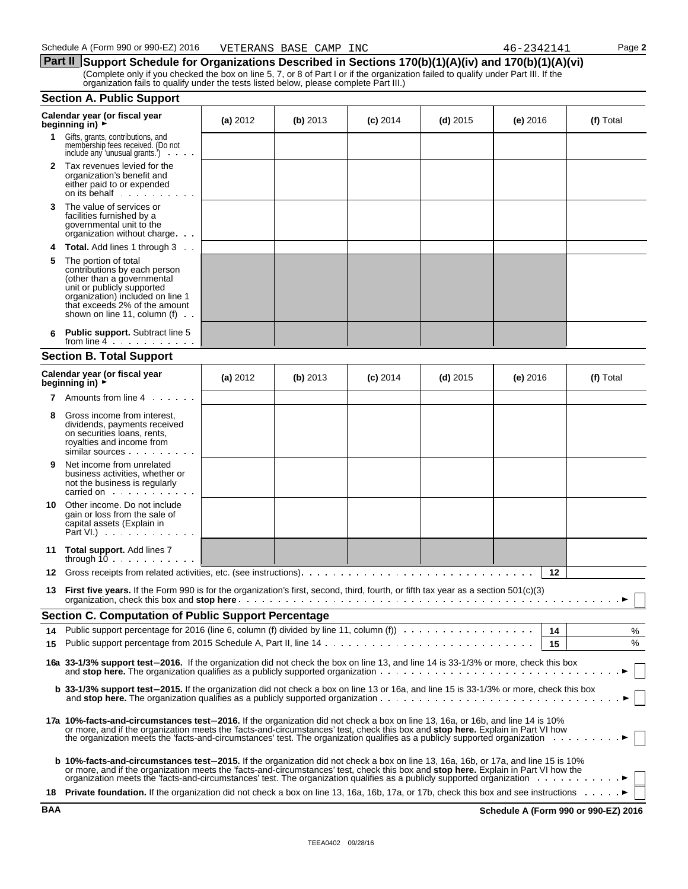**Part II** Support Schedule for Organizations Described in Sections 170(b)(1)(A)(iv) and 170(b)(1)(A)(vi) (Complete only if you checked the box on line 5, 7, or 8 of Part I or if the organization failed to qualify under Part III. If the organization fails to qualify under the tests listed below, please complete Part III.)

#### **Section A. Public Support**

|              | Calendar year (or fiscal year<br>beginning in) ►                                                                                                                                                                                                                                                                                                                                                          | (a) 2012   | $(b)$ 2013 | $(c)$ 2014 | $(d)$ 2015 | $(e)$ 2016 | (f) Total |
|--------------|-----------------------------------------------------------------------------------------------------------------------------------------------------------------------------------------------------------------------------------------------------------------------------------------------------------------------------------------------------------------------------------------------------------|------------|------------|------------|------------|------------|-----------|
| 1            | Gifts, grants, contributions, and<br>membership fees received. (Do not<br>include any 'unusual grants.')<br>$\cdots$                                                                                                                                                                                                                                                                                      |            |            |            |            |            |           |
| $\mathbf{2}$ | Tax revenues levied for the<br>organization's benefit and<br>either paid to or expended<br>on its behalf                                                                                                                                                                                                                                                                                                  |            |            |            |            |            |           |
| 3            | The value of services or<br>facilities furnished by a<br>governmental unit to the<br>organization without charge                                                                                                                                                                                                                                                                                          |            |            |            |            |            |           |
|              | <b>Total.</b> Add lines 1 through 3                                                                                                                                                                                                                                                                                                                                                                       |            |            |            |            |            |           |
| 5            | The portion of total<br>contributions by each person<br>(other than a governmental<br>unit or publicly supported<br>organization) included on line 1<br>that exceeds 2% of the amount<br>shown on line 11, column $(f)$ .                                                                                                                                                                                 |            |            |            |            |            |           |
|              | <b>Public support.</b> Subtract line 5<br>from line $4 \cdot \cdot \cdot \cdot \cdot \cdot \cdot$                                                                                                                                                                                                                                                                                                         |            |            |            |            |            |           |
|              | <b>Section B. Total Support</b>                                                                                                                                                                                                                                                                                                                                                                           |            |            |            |            |            |           |
|              | Calendar year (or fiscal year<br>beginning in) ►                                                                                                                                                                                                                                                                                                                                                          | (a) $2012$ | (b) $2013$ | $(c)$ 2014 | $(d)$ 2015 | (e) $2016$ | (f) Total |
|              | <b>7</b> Amounts from line 4                                                                                                                                                                                                                                                                                                                                                                              |            |            |            |            |            |           |
| 8            | Gross income from interest,<br>dividends, payments received<br>on securities loans, rents,<br>royalties and income from<br>similar sources                                                                                                                                                                                                                                                                |            |            |            |            |            |           |
| 9            | Net income from unrelated<br>business activities, whether or<br>not the business is regularly<br>carried on                                                                                                                                                                                                                                                                                               |            |            |            |            |            |           |
| 10           | Other income. Do not include<br>gain or loss from the sale of<br>capital assets (Explain in<br>Part VI.) $\cdots$                                                                                                                                                                                                                                                                                         |            |            |            |            |            |           |
| 11           | <b>Total support.</b> Add lines 7<br>through $10 \ldots \ldots \ldots$                                                                                                                                                                                                                                                                                                                                    |            |            |            |            |            |           |
| 12           |                                                                                                                                                                                                                                                                                                                                                                                                           |            |            |            |            | 12         |           |
| 13           | <b>First five years.</b> If the Form 990 is for the organization's first, second, third, fourth, or fifth tax year as a section 501(c)(3)                                                                                                                                                                                                                                                                 |            |            |            |            |            |           |
|              | <b>Section C. Computation of Public Support Percentage</b>                                                                                                                                                                                                                                                                                                                                                |            |            |            |            |            |           |
|              | Public support percentage for 2016 (line 6, column (f) divided by line 11, column (f)                                                                                                                                                                                                                                                                                                                     |            |            |            |            | 14         | %         |
| 15           |                                                                                                                                                                                                                                                                                                                                                                                                           |            |            |            |            | 15         | %         |
|              | 16a 33-1/3% support test-2016. If the organization did not check the box on line 13, and line 14 is 33-1/3% or more, check this box                                                                                                                                                                                                                                                                       |            |            |            |            |            |           |
|              | b 33-1/3% support test-2015. If the organization did not check a box on line 13 or 16a, and line 15 is 33-1/3% or more, check this box                                                                                                                                                                                                                                                                    |            |            |            |            |            |           |
|              | 17a 10%-facts-and-circumstances test-2016. If the organization did not check a box on line 13, 16a, or 16b, and line 14 is 10%<br>or more, and if the organization meets the 'facts-and-circumstances' test, check this box and stop here. Explain in Part VI how<br>the organization meets the 'facts-and-circumstances' test. The organization qualifies as a publicly supported organization           |            |            |            |            |            |           |
|              | <b>b 10%-facts-and-circumstances test-2015.</b> If the organization did not check a box on line 13, 16a, 16b, or 17a, and line 15 is 10%<br>or more, and if the organization meets the 'facts-and-circumstances' test, check this box and stop here. Explain in Part VI how the<br>organization meets the 'facts-and-circumstances' test. The organization qualifies as a publicly supported organization |            |            |            |            |            |           |
|              | 18 Private foundation. If the organization did not check a box on line 13, 16a, 16b, 17a, or 17b, check this box and see instructions                                                                                                                                                                                                                                                                     |            |            |            |            |            |           |

**BAA Schedule A (Form 990 or 990-EZ) 2016**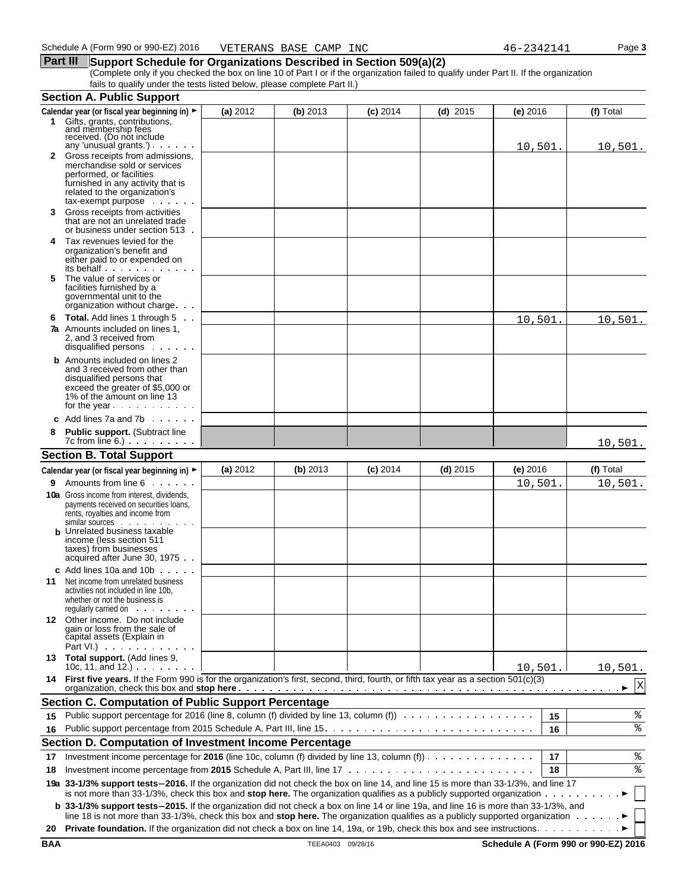#### **Part III** Support Schedule for Organizations Described in Section 509(a)(2)

(Complete only if you checked the box on line 10 of Part I or if the organization failed to qualify under Part II. If the organization fails to qualify under the tests listed below, please complete Part II.)

|    | <b>Section A. Public Support</b>                                                                                                                                                                                                                                  |          |          |            |            |            |    |           |
|----|-------------------------------------------------------------------------------------------------------------------------------------------------------------------------------------------------------------------------------------------------------------------|----------|----------|------------|------------|------------|----|-----------|
|    | Calendar year (or fiscal year beginning in) ►                                                                                                                                                                                                                     | (a) 2012 | (b) 2013 | $(c)$ 2014 | $(d)$ 2015 | $(e)$ 2016 |    | (f) Total |
|    | 1 Gifts, grants, contributions,<br>and membership fees<br>received. (Do not include<br>any 'unusual grants').                                                                                                                                                     |          |          |            |            |            |    |           |
|    | 2 Gross receipts from admissions,                                                                                                                                                                                                                                 |          |          |            |            | 10,501.    |    | 10,501.   |
|    | merchandise sold or services                                                                                                                                                                                                                                      |          |          |            |            |            |    |           |
|    | performed, or facilities<br>furnished in any activity that is                                                                                                                                                                                                     |          |          |            |            |            |    |           |
|    | related to the organization's                                                                                                                                                                                                                                     |          |          |            |            |            |    |           |
|    | $tax$ -exempt purpose $\ldots$                                                                                                                                                                                                                                    |          |          |            |            |            |    |           |
| 3  | Gross receipts from activities<br>that are not an unrelated trade                                                                                                                                                                                                 |          |          |            |            |            |    |           |
|    | or business under section 513.                                                                                                                                                                                                                                    |          |          |            |            |            |    |           |
| 4  | Tax revenues levied for the                                                                                                                                                                                                                                       |          |          |            |            |            |    |           |
|    | organization's benefit and                                                                                                                                                                                                                                        |          |          |            |            |            |    |           |
|    | either paid to or expended on<br>its behalf                                                                                                                                                                                                                       |          |          |            |            |            |    |           |
| 5. | The value of services or                                                                                                                                                                                                                                          |          |          |            |            |            |    |           |
|    | facilities furnished by a<br>governmental unit to the                                                                                                                                                                                                             |          |          |            |            |            |    |           |
|    | organization without charge.                                                                                                                                                                                                                                      |          |          |            |            |            |    |           |
| 6  | <b>Total.</b> Add lines 1 through 5                                                                                                                                                                                                                               |          |          |            |            | 10,501     |    | 10,501.   |
|    | <b>7a</b> Amounts included on lines 1.                                                                                                                                                                                                                            |          |          |            |            |            |    |           |
|    | 2. and 3 received from<br>disqualified persons                                                                                                                                                                                                                    |          |          |            |            |            |    |           |
|    | <b>b</b> Amounts included on lines 2                                                                                                                                                                                                                              |          |          |            |            |            |    |           |
|    | and 3 received from other than                                                                                                                                                                                                                                    |          |          |            |            |            |    |           |
|    | disqualified persons that<br>exceed the greater of \$5,000 or                                                                                                                                                                                                     |          |          |            |            |            |    |           |
|    | 1% of the amount on line 13                                                                                                                                                                                                                                       |          |          |            |            |            |    |           |
|    | for the year $\cdots$                                                                                                                                                                                                                                             |          |          |            |            |            |    |           |
|    | c Add lines $7a$ and $7b$                                                                                                                                                                                                                                         |          |          |            |            |            |    |           |
|    | <b>Public support. (Subtract line</b>                                                                                                                                                                                                                             |          |          |            |            |            |    |           |
|    | $7c$ from line $6.$ ) $\ldots$ $\ldots$ $\ldots$                                                                                                                                                                                                                  |          |          |            |            |            |    | 10,501.   |
|    | <b>Section B. Total Support</b>                                                                                                                                                                                                                                   |          |          |            |            |            |    |           |
|    | Calendar year (or fiscal year beginning in) ►                                                                                                                                                                                                                     | (a) 2012 | (b) 2013 | $(c)$ 2014 | $(d)$ 2015 | (e) 2016   |    | (f) Total |
| 9. | Amounts from line 6                                                                                                                                                                                                                                               |          |          |            |            | 10,501.    |    | 10,501.   |
|    | <b>10a</b> Gross income from interest, dividends,<br>payments received on securities loans,                                                                                                                                                                       |          |          |            |            |            |    |           |
|    | rents, royalties and income from                                                                                                                                                                                                                                  |          |          |            |            |            |    |           |
|    | similar sources<br><b>b</b> Unrelated business taxable                                                                                                                                                                                                            |          |          |            |            |            |    |           |
|    | income (less section 511                                                                                                                                                                                                                                          |          |          |            |            |            |    |           |
|    | taxes) from businesses                                                                                                                                                                                                                                            |          |          |            |            |            |    |           |
|    | acquired after June 30, 1975                                                                                                                                                                                                                                      |          |          |            |            |            |    |           |
| 11 | c Add lines 10a and 10b $\cdots$<br>Net income from unrelated business                                                                                                                                                                                            |          |          |            |            |            |    |           |
|    | activities not included in line 10b.                                                                                                                                                                                                                              |          |          |            |            |            |    |           |
|    | whether or not the business is                                                                                                                                                                                                                                    |          |          |            |            |            |    |           |
|    | requiarly carried on entitled by the control of the control of the control of the control of the control of the control of the control of the control of the control of the control of the control of the control of the contr<br>12 Other income. Do not include |          |          |            |            |            |    |           |
|    | gain or loss from the sale of                                                                                                                                                                                                                                     |          |          |            |            |            |    |           |
|    | capital assets (Explain in                                                                                                                                                                                                                                        |          |          |            |            |            |    |           |
|    | Part VI.) $\cdots$<br>13 Total support. (Add lines 9,                                                                                                                                                                                                             |          |          |            |            |            |    |           |
|    | 10c, 11, and 12.) $\cdots$                                                                                                                                                                                                                                        |          |          |            |            | 10,501.    |    | 10,501.   |
|    | 14 First five years. If the Form 990 is for the organization's first, second, third, fourth, or fifth tax year as a section 501(c)(3)                                                                                                                             |          |          |            |            |            |    | X         |
|    |                                                                                                                                                                                                                                                                   |          |          |            |            |            |    |           |
|    | <b>Section C. Computation of Public Support Percentage</b>                                                                                                                                                                                                        |          |          |            |            |            |    |           |
| 15 | Public support percentage for 2016 (line 8, column (f) divided by line 13, column (f))                                                                                                                                                                            |          |          |            |            |            | 15 | နွ        |
| 16 |                                                                                                                                                                                                                                                                   |          |          |            |            |            | 16 | ి         |
|    | Section D. Computation of Investment Income Percentage                                                                                                                                                                                                            |          |          |            |            |            |    |           |
| 17 | Investment income percentage for 2016 (line 10c, column (f) divided by line 13, column (f))                                                                                                                                                                       |          |          |            |            |            | 17 | $\,$ $\,$ |
| 18 |                                                                                                                                                                                                                                                                   |          |          |            |            |            | 18 | ి         |
|    | 19a 33-1/3% support tests-2016. If the organization did not check the box on line 14, and line 15 is more than 33-1/3%, and line 17<br>is not more than 33-1/3%, check this box and stop here. The organization qualifies as a publicly supported organization    |          |          |            |            |            |    |           |
|    | b 33-1/3% support tests-2015. If the organization did not check a box on line 14 or line 19a, and line 16 is more than 33-1/3%, and                                                                                                                               |          |          |            |            |            |    |           |
|    | line 18 is not more than 33-1/3%, check this box and stop here. The organization qualifies as a publicly supported organization $\cdots \cdots$                                                                                                                   |          |          |            |            |            |    |           |
| 20 |                                                                                                                                                                                                                                                                   |          |          |            |            |            |    |           |
|    |                                                                                                                                                                                                                                                                   |          |          |            |            |            |    |           |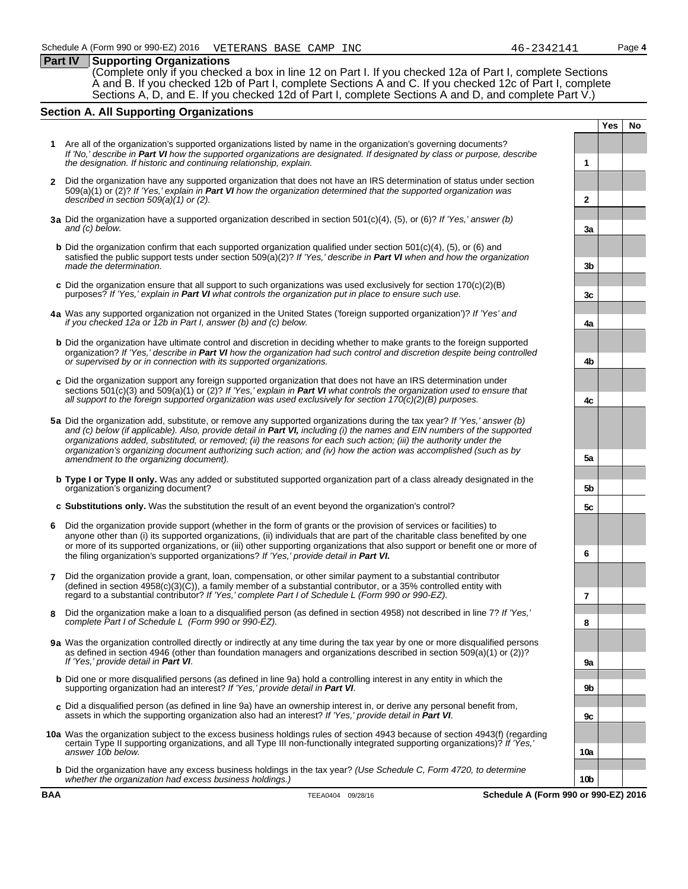#### **Part IV Supporting Organizations**

(Complete only if you checked a box in line 12 on Part I. If you checked 12a of Part I, complete Sections A and B. If you checked 12b of Part I, complete Sections A and C. If you checked 12c of Part I, complete Sections A, D, and E. If you checked 12d of Part I, complete Sections A and D, and complete Part V.)

#### **Section A. All Supporting Organizations**

- **1** Are all of the organization's supported organizations listed by name in the organization's governing documents? *If 'No,' describe in Part VI how the supported organizations are designated. If designated by class or purpose, describe the designation. If historic and continuing relationship, explain.* **1**
- **2** Did the organization have any supported organization that does not have an IRS determination of status under section 509(a)(1) or (2)? *If 'Yes,' explain in Part VI how the organization determined that the supported organization was described in section 509(a)(1) or (2).* **2**
- **3a** Did the organization have a supported organization described in section 501(c)(4), (5), or (6)? *If 'Yes,' answer (b) and (c) below.* **3a**
- **b** Did the organization confirm that each supported organization qualified under section 501(c)(4), (5), or (6) and satisfied the public support tests under section 509(a)(2)? *If 'Yes,' describe in Part VI when and how the organization made the determination.* **3b 3b**
- **c** Did the organization ensure that all support to such organizations was used exclusively for section 170(c)(2)(B) purposes? *If 'Yes,' explain in Part VI* what controls the organization put in place to ensure such use.
- **4a** Was any supported organization not organized in the United States ('foreign supported organization')? *If 'Yes' and if you checked 12a or 12b in Part I, answer (b) and (c) below.* **4a**
- **b** Did the organization have ultimate control and discretion in deciding whether to make grants to the foreign supported organization? *If 'Yes,' describe in Part VI how the organization had such control and discretion despite being controlled or supervised by or in connection with its supported organizations.* **4b**
- **c** Did the organization support any foreign supported organization that does not have an IRS determination under sections 501(c)(3) and 509(a)(1) or (2)? *If 'Yes,' explain in Part VI what controls the organization used to ensure that all support to the foreign supported organization was used exclusively for section 170(c)(2)(B) purposes.* **4c**
- **5a** Did the organization add, substitute, or remove any supported organizations during the tax year? *If 'Yes,' answer (b) and (c) below (if applicable). Also, provide detail in Part VI, including (i) the names and EIN numbers of the supported organizations added, substituted, or removed; (ii) the reasons for each such action; (iii) the authority under the organization's organizing document authorizing such action; and (iv) how the action was accomplished (such as by amendment to the organizing document).* **5a**
- **b Type I or Type II only.** Was any added or substituted supported organization part of a class already designated in the organization's organizing document? **5b**
- **c Substitutions only.** Was the substitution the result of an event beyond the organization's control? **5c**
- **6** Did the organization provide support (whether in the form of grants or the provision of services or facilities) to anyone other than (i) its supported organizations, (ii) individuals that are part of the charitable class benefited by one or more of its supported organizations, or (iii) other supporting organizations that also support or benefit one or more of the filing organization's supported organizations? *If 'Yes,' provide detail in Part VI.* **6**
- **7** Did the organization provide a grant, loan, compensation, or other similar payment to a substantial contributor  $($ defined in section 4958 $(c)(3)(\tilde{C}))$ , a family member of a substantial contributor, or a 35% controlled entity with regard to a substantial contributor? *If 'Yes,' complete Part I of Schedule L (Form 990 or 990-EZ).* **7**
- **8** Did the organization make a loan to a disqualified person (as defined in section 4958) not described in line 7? *If 'Yes,' complete Part I of Schedule L (Form 990 or 990-EZ).* **8**
- **9a** Was the organization controlled directly or indirectly at any time during the tax year by one or more disqualified persons as defined in section 4946 (other than foundation managers and organizations described in section 509(a)(1) or (2))? *If 'Yes,' provide detail in Part VI*. **9a**
- **b** Did one or more disqualified persons (as defined in line 9a) hold a controlling interest in any entity in which the supporting organization had an interest? *If 'Yes,' provide detail in Part VI*. **9b**
- **c** Did a disqualified person (as defined in line 9a) have an ownership interest in, or derive any personal benefit from, assets in which the supporting organization also had an interest? *If 'Yes,' provide detail in Part VI*. **9c**
- **10a** Was the organization subject to the excess business holdings rules of section 4943 because of section 4943(f) (regarding certain Type II supporting organizations, and all Type III non-functionally integrated supporting organizations)? *If 'Yes,' answer 10b below.* **10a**
	- **b** Did the organization have any excess business holdings in the tax year? *(Use Schedule C, Form 4720, to determine whether the organization had excess business holdings.)* **10b**

**Yes No**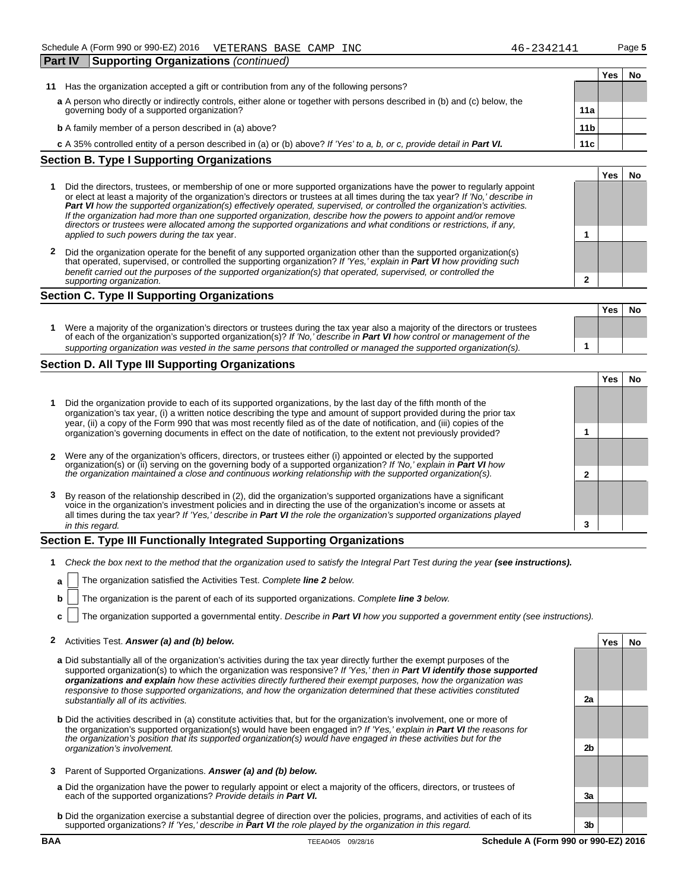| <b>Part IV</b> | Supporting Organizations (continued)                                                                                      |                 |     |    |
|----------------|---------------------------------------------------------------------------------------------------------------------------|-----------------|-----|----|
|                |                                                                                                                           |                 | Yes | No |
| 11             | Has the organization accepted a gift or contribution from any of the following persons?                                   |                 |     |    |
|                | a A person who directly or indirectly controls, either alone or together with persons described in (b) and (c) below, the |                 |     |    |
|                | governing body of a supported organization?                                                                               | 11a             |     |    |
|                | <b>b</b> A family member of a person described in (a) above?                                                              | 11 <sub>b</sub> |     |    |
|                | c A 35% controlled entity of a person described in (a) or (b) above? If 'Yes' to a, b, or c, provide detail in Part VI.   | 11c             |     |    |
|                | <b>Section B. Type I Supporting Organizations</b>                                                                         |                 |     |    |
|                |                                                                                                                           |                 | Yes |    |

- **1** Did the directors, trustees, or membership of one or more supported organizations have the power to regularly appoint or elect at least a majority of the organization's directors or trustees at all times during the tax year? *If 'No,' describe in Part VI how the supported organization(s) effectively operated, supervised, or controlled the organization's activities. If the organization had more than one supported organization, describe how the powers to appoint and/or remove directors or trustees were allocated among the supported organizations and what conditions or restrictions, if any, applied to such powers during the tax* year. **1**
- **2** Did the organization operate for the benefit of any supported organization other than the supported organization(s) that operated, supervised, or controlled the supporting organization? *If 'Yes,' explain in Part VI how providing such benefit carried out the purposes of the supported organization(s) that operated, supervised, or controlled the supporting organization.* **2**

#### **Section C. Type II Supporting Organizations**

|                                                                                                                                                                                                                                                       | <b>Yes</b> | Nο |
|-------------------------------------------------------------------------------------------------------------------------------------------------------------------------------------------------------------------------------------------------------|------------|----|
| Were a majority of the organization's directors or trustees during the tax year also a majority of the directors or trustees<br>of each of the organization's supported organization(s)? If 'No, describe in Part VI how control or management of the |            |    |
| supporting organization was vested in the same persons that controlled or managed the supported organization(s).                                                                                                                                      |            |    |

#### **Section D. All Type III Supporting Organizations**

|   |                                                                                                                                                                                                                                                                                                                                                                    |   | res |  |
|---|--------------------------------------------------------------------------------------------------------------------------------------------------------------------------------------------------------------------------------------------------------------------------------------------------------------------------------------------------------------------|---|-----|--|
|   | Did the organization provide to each of its supported organizations, by the last day of the fifth month of the<br>organization's tax year, (i) a written notice describing the type and amount of support provided during the prior tax<br>year, (ii) a copy of the Form 990 that was most recently filed as of the date of notification, and (iii) copies of the  |   |     |  |
|   | organization's governing documents in effect on the date of notification, to the extent not previously provided?                                                                                                                                                                                                                                                   |   |     |  |
|   |                                                                                                                                                                                                                                                                                                                                                                    |   |     |  |
|   | 2 Were any of the organization's officers, directors, or trustees either (i) appointed or elected by the supported                                                                                                                                                                                                                                                 |   |     |  |
|   | organization(s) or (ii) serving on the governing body of a supported organization? If 'No,' explain in <b>Part VI</b> how<br>the organization maintained a close and continuous working relationship with the supported organization(s                                                                                                                             |   |     |  |
|   |                                                                                                                                                                                                                                                                                                                                                                    |   |     |  |
| 3 | By reason of the relationship described in (2), did the organization's supported organizations have a significant<br>voice in the organization's investment policies and in directing the use of the organization's income or assets at<br>all times during the tax year? If 'Yes,' describe in Part VI the role the organization's supported organizations played |   |     |  |
|   | in this regard.                                                                                                                                                                                                                                                                                                                                                    | 3 |     |  |

#### **Section E. Type III Functionally Integrated Supporting Organizations**

- **1** Check the box next to the method that the organization used to satisfy the Integral Part Test during the year (see instructions).
	- **a** The organization satisfied the Activities Test. Complete **line 2** below.
	- **b** The organization is the parent of each of its supported organizations. *Complete line 3 below.*
	- **c** The organization supported a governmental entity. *Describe in Part VI how you supported a government entity (see instructions).*

#### **2** Activities Test. *Answer (a) and (b) below.* **Yes No**

- **a** Did substantially all of the organization's activities during the tax year directly further the exempt purposes of the supported organization(s) to which the organization was responsive? *If 'Yes,' then in Part VI identify those supported organizations and explain how these activities directly furthered their exempt purposes, how the organization was responsive to those supported organizations, and how the organization determined that these activities constituted substantially all of its activities.* **2a**
- **b** Did the activities described in (a) constitute activities that, but for the organization's involvement, one or more of the organization's supported organization(s) would have been engaged in? *If 'Yes,' explain in Part VI the reasons for the organization's position that its supported organization(s) would have engaged in these activities but for the organization's involvement.* **2b**
- **3** Parent of Supported Organizations. *Answer (a) and (b) below.*
- **a** Did the organization have the power to regularly appoint or elect a majority of the officers, directors, or trustees of each of the supported organizations? *Provide details in Part VI.* **3a**
- **b** Did the organization exercise a substantial degree of direction over the policies, programs, and activities of each of its supported organizations? *If 'Yes,' describe in Part VI the role played by the organization in this regard.* **3b**

**BAA TEEA0405 09/28/16 Schedule A (Form 990 or 990-EZ) 2016**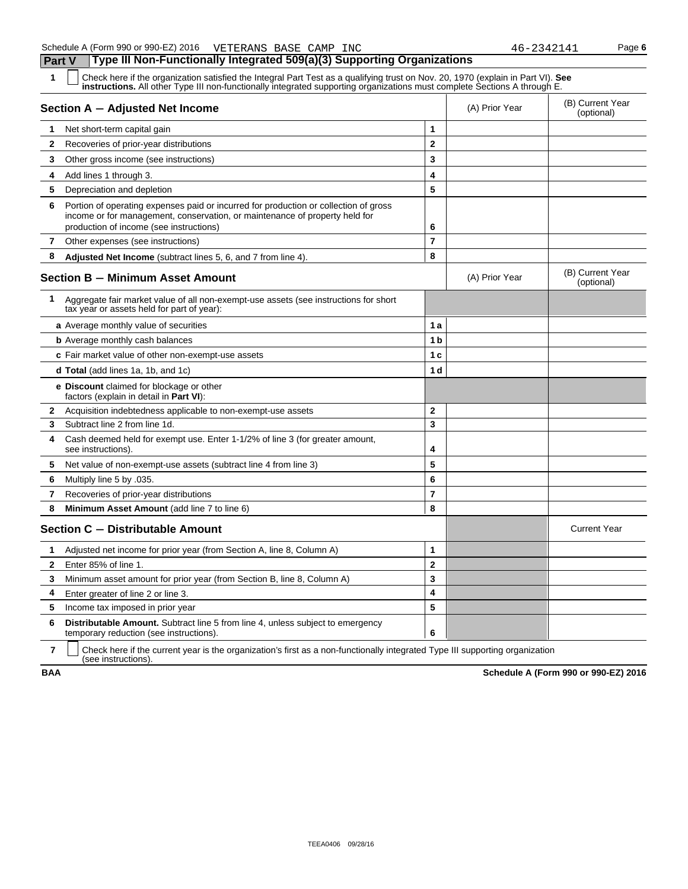| .<br>1<br>Check here if the organization satisfied the Integral Part Test as a qualifying trust on Nov. 20, 1970 (explain in Part VI). See<br>instructions. All other Type III non-functionally integrated supporting organizations must complete Sections A through E. |                |                |                                |
|-------------------------------------------------------------------------------------------------------------------------------------------------------------------------------------------------------------------------------------------------------------------------|----------------|----------------|--------------------------------|
| Section A - Adjusted Net Income                                                                                                                                                                                                                                         |                | (A) Prior Year | (B) Current Year<br>(optional) |
| 1<br>Net short-term capital gain                                                                                                                                                                                                                                        | 1              |                |                                |
| $\mathbf{2}$<br>Recoveries of prior-year distributions                                                                                                                                                                                                                  | $\overline{2}$ |                |                                |
| 3<br>Other gross income (see instructions)                                                                                                                                                                                                                              | 3              |                |                                |
| 4<br>Add lines 1 through 3.                                                                                                                                                                                                                                             | 4              |                |                                |
| 5<br>Depreciation and depletion                                                                                                                                                                                                                                         | 5              |                |                                |
| Portion of operating expenses paid or incurred for production or collection of gross<br>6<br>income or for management, conservation, or maintenance of property held for<br>production of income (see instructions)                                                     | 6              |                |                                |
| 7<br>Other expenses (see instructions)                                                                                                                                                                                                                                  | $\overline{7}$ |                |                                |
| 8<br>Adjusted Net Income (subtract lines 5, 6, and 7 from line 4).                                                                                                                                                                                                      | 8              |                |                                |
| <b>Section B - Minimum Asset Amount</b>                                                                                                                                                                                                                                 |                | (A) Prior Year | (B) Current Year<br>(optional) |
| 1<br>Aggregate fair market value of all non-exempt-use assets (see instructions for short<br>tax year or assets held for part of year):                                                                                                                                 |                |                |                                |
| a Average monthly value of securities                                                                                                                                                                                                                                   | 1 a            |                |                                |
| <b>b</b> Average monthly cash balances                                                                                                                                                                                                                                  | 1 <sub>b</sub> |                |                                |
| c Fair market value of other non-exempt-use assets                                                                                                                                                                                                                      | 1 <sub>c</sub> |                |                                |
| <b>d Total</b> (add lines 1a, 1b, and 1c)                                                                                                                                                                                                                               | 1 d            |                |                                |
| <b>e</b> Discount claimed for blockage or other<br>factors (explain in detail in <b>Part VI</b> ):                                                                                                                                                                      |                |                |                                |
| $\mathbf{2}$<br>Acquisition indebtedness applicable to non-exempt-use assets                                                                                                                                                                                            | $\mathbf{2}$   |                |                                |
| Subtract line 2 from line 1d.<br>3                                                                                                                                                                                                                                      | 3              |                |                                |
| Cash deemed held for exempt use. Enter 1-1/2% of line 3 (for greater amount,<br>4<br>see instructions).                                                                                                                                                                 | 4              |                |                                |
| 5<br>Net value of non-exempt-use assets (subtract line 4 from line 3)                                                                                                                                                                                                   | 5              |                |                                |
| Multiply line 5 by .035.<br>6                                                                                                                                                                                                                                           | 6              |                |                                |
| $\overline{7}$<br>Recoveries of prior-year distributions                                                                                                                                                                                                                | $\overline{7}$ |                |                                |
| 8<br><b>Minimum Asset Amount</b> (add line 7 to line 6)                                                                                                                                                                                                                 | 8              |                |                                |
| Section C - Distributable Amount                                                                                                                                                                                                                                        |                |                | <b>Current Year</b>            |
| Adjusted net income for prior year (from Section A, line 8, Column A)<br>1                                                                                                                                                                                              | 1              |                |                                |
| $\mathbf{2}$<br>Enter 85% of line 1.                                                                                                                                                                                                                                    | $\overline{2}$ |                |                                |
| 3<br>Minimum asset amount for prior year (from Section B, line 8, Column A)                                                                                                                                                                                             | 3              |                |                                |
| 4<br>Enter greater of line 2 or line 3.                                                                                                                                                                                                                                 | 4              |                |                                |
| 5<br>Income tax imposed in prior year                                                                                                                                                                                                                                   | 5              |                |                                |
| 6<br><b>Distributable Amount.</b> Subtract line 5 from line 4, unless subject to emergency<br>temporary reduction (see instructions).                                                                                                                                   | 6              |                |                                |

**7** | Check here if the current year is the organization's first as a non-functionally integrated Type III supporting organization (see instructions).

**BAA Schedule A (Form 990 or 990-EZ) 2016**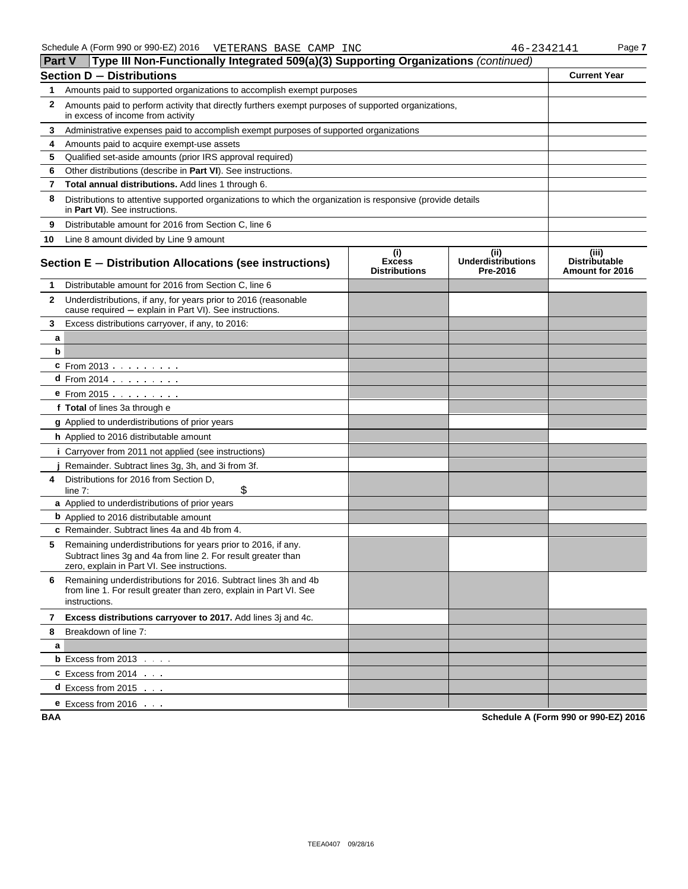| <b>Part V</b> | Type III Non-Functionally Integrated 509(a)(3) Supporting Organizations (continued)                                                                                           |                                              |                                               |                                                  |
|---------------|-------------------------------------------------------------------------------------------------------------------------------------------------------------------------------|----------------------------------------------|-----------------------------------------------|--------------------------------------------------|
|               | <b>Section D - Distributions</b>                                                                                                                                              |                                              |                                               | <b>Current Year</b>                              |
| 1             | Amounts paid to supported organizations to accomplish exempt purposes                                                                                                         |                                              |                                               |                                                  |
| $\mathbf{2}$  | Amounts paid to perform activity that directly furthers exempt purposes of supported organizations,<br>in excess of income from activity                                      |                                              |                                               |                                                  |
| 3             | Administrative expenses paid to accomplish exempt purposes of supported organizations                                                                                         |                                              |                                               |                                                  |
| 4             | Amounts paid to acquire exempt-use assets                                                                                                                                     |                                              |                                               |                                                  |
| 5             | Qualified set-aside amounts (prior IRS approval required)                                                                                                                     |                                              |                                               |                                                  |
| 6             | Other distributions (describe in Part VI). See instructions.                                                                                                                  |                                              |                                               |                                                  |
| 7             | Total annual distributions. Add lines 1 through 6.                                                                                                                            |                                              |                                               |                                                  |
| 8             | Distributions to attentive supported organizations to which the organization is responsive (provide details<br>in Part VI). See instructions.                                 |                                              |                                               |                                                  |
| 9             | Distributable amount for 2016 from Section C, line 6                                                                                                                          |                                              |                                               |                                                  |
| 10            | Line 8 amount divided by Line 9 amount                                                                                                                                        |                                              |                                               |                                                  |
|               | Section E - Distribution Allocations (see instructions)                                                                                                                       | (i)<br><b>Excess</b><br><b>Distributions</b> | (ii)<br><b>Underdistributions</b><br>Pre-2016 | (iii)<br><b>Distributable</b><br>Amount for 2016 |
| 1             | Distributable amount for 2016 from Section C, line 6                                                                                                                          |                                              |                                               |                                                  |
| $\mathbf{2}$  | Underdistributions, if any, for years prior to 2016 (reasonable<br>cause required - explain in Part VI). See instructions.                                                    |                                              |                                               |                                                  |
| 3             | Excess distributions carryover, if any, to 2016:                                                                                                                              |                                              |                                               |                                                  |
| a             |                                                                                                                                                                               |                                              |                                               |                                                  |
| b             |                                                                                                                                                                               |                                              |                                               |                                                  |
|               | <b>c</b> From 2013                                                                                                                                                            |                                              |                                               |                                                  |
|               | d From 2014                                                                                                                                                                   |                                              |                                               |                                                  |
|               | $e$ From 2015 $\ldots$ $\ldots$ .                                                                                                                                             |                                              |                                               |                                                  |
|               | f Total of lines 3a through e                                                                                                                                                 |                                              |                                               |                                                  |
|               | <b>g</b> Applied to underdistributions of prior years                                                                                                                         |                                              |                                               |                                                  |
|               | <b>h</b> Applied to 2016 distributable amount                                                                                                                                 |                                              |                                               |                                                  |
|               | <i>i</i> Carryover from 2011 not applied (see instructions)                                                                                                                   |                                              |                                               |                                                  |
|               | Remainder. Subtract lines 3g, 3h, and 3i from 3f.                                                                                                                             |                                              |                                               |                                                  |
| 4             | Distributions for 2016 from Section D,<br>\$<br>line $7:$                                                                                                                     |                                              |                                               |                                                  |
|               | a Applied to underdistributions of prior years                                                                                                                                |                                              |                                               |                                                  |
|               | <b>b</b> Applied to 2016 distributable amount                                                                                                                                 |                                              |                                               |                                                  |
|               | c Remainder. Subtract lines 4a and 4b from 4.                                                                                                                                 |                                              |                                               |                                                  |
| 5             | Remaining underdistributions for years prior to 2016, if any.<br>Subtract lines 3g and 4a from line 2. For result greater than<br>zero, explain in Part VI. See instructions. |                                              |                                               |                                                  |
| 6             | Remaining underdistributions for 2016. Subtract lines 3h and 4b<br>from line 1. For result greater than zero, explain in Part VI. See<br>instructions.                        |                                              |                                               |                                                  |
|               | 7 Excess distributions carryover to 2017. Add lines 3j and 4c.                                                                                                                |                                              |                                               |                                                  |
| 8             | Breakdown of line 7:                                                                                                                                                          |                                              |                                               |                                                  |
| a             |                                                                                                                                                                               |                                              |                                               |                                                  |
|               | <b>b</b> Excess from $2013$ $\ldots$                                                                                                                                          |                                              |                                               |                                                  |
|               | $C$ Excess from 2014 $\ldots$                                                                                                                                                 |                                              |                                               |                                                  |
|               | <b>d</b> Excess from 2015 $\ldots$                                                                                                                                            |                                              |                                               |                                                  |
|               | <b>e</b> Excess from 2016 $\cdots$                                                                                                                                            |                                              |                                               |                                                  |

**BAA Schedule A (Form 990 or 990-EZ) 2016**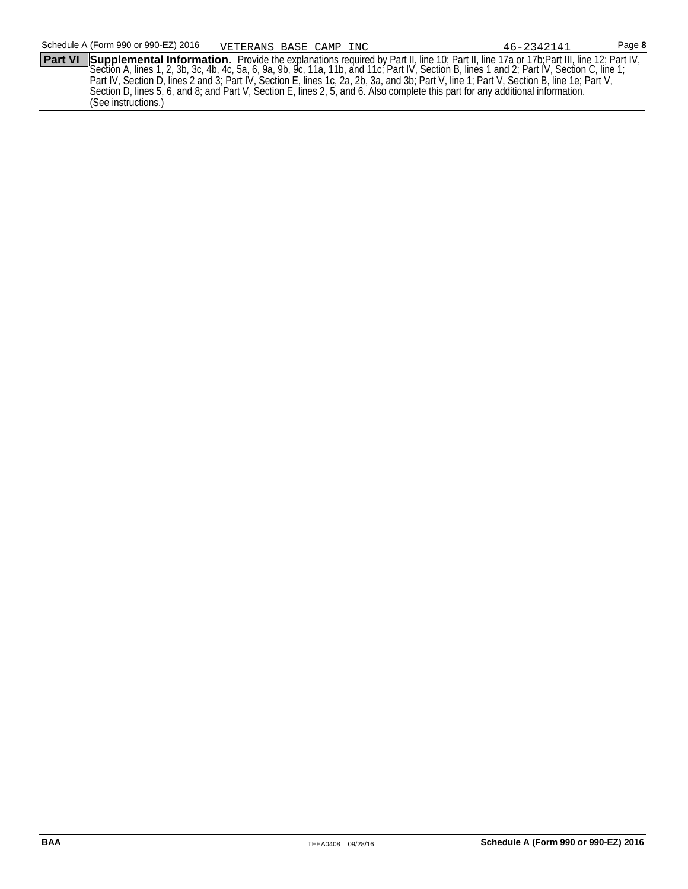**Part VI Supplemental Information.** Provide the explanations required by Part II, line 10; Part II, line 17a or 17b;Part III, line 12; Part IV, Section A, lines 1, 2, 3b, 3c, 4b, 4c, 5a, 6, 9a, 9b, 9c, 11a, 11b, and 11c; Part IV, Section B, lines 1 and 2; Part IV, Section C, line 1; Part IV, Section D, lines 2 and 3; Part IV, Section E, lines 1c, 2a, 2b, 3a, and 3b; Part V, line 1; Part V, Section B, line 1e; Part V, Section D, lines 5, 6, and 8; and Part V, Section E, lines 2, 5, and 6. Also complete this part for any additional information. (See instructions.)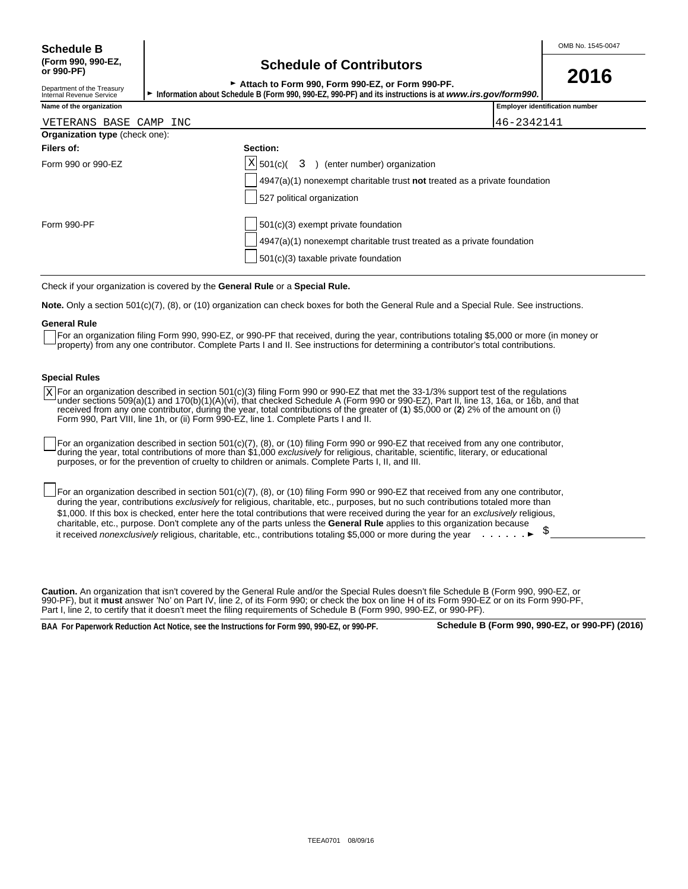Department of the Treasury<br>Internal Revenue Service

## **(Form 990, 990-EZ, Schedule of Contributors or 990-PF)**

<sup>G</sup>**Attach to Form 990, Form 990-EZ, or Form 990-PF. 2016**

Information about Schedule B (Form 990, 990-EZ, 990-PF) and its instructions is at *www.irs.gov/form990.* 

| Name of the organization              |                                                                           | <b>Employer identification number</b> |
|---------------------------------------|---------------------------------------------------------------------------|---------------------------------------|
| VETERANS BASE CAMP INC                |                                                                           | 46-2342141                            |
| <b>Organization type (check one):</b> |                                                                           |                                       |
| Filers of:                            | Section:                                                                  |                                       |
| Form 990 or 990-EZ                    | $ X $ 501(c)(<br>3<br>(enter number) organization                         |                                       |
|                                       | 4947(a)(1) nonexempt charitable trust not treated as a private foundation |                                       |
|                                       | 527 political organization                                                |                                       |
| Form 990-PF                           | 501(c)(3) exempt private foundation                                       |                                       |
|                                       | 4947(a)(1) nonexempt charitable trust treated as a private foundation     |                                       |
|                                       |                                                                           |                                       |

Check if your organization is covered by the **General Rule** or a **Special Rule.**

**Note.** Only a section 501(c)(7), (8), or (10) organization can check boxes for both the General Rule and a Special Rule. See instructions.

#### **General Rule**

For an organization filing Form 990, 990-EZ, or 990-PF that received, during the year, contributions totaling \$5,000 or more (in money or property) from any one contributor. Complete Parts I and II. See instructions for determining a contributor's total contributions.

 $501(c)(3)$  taxable private foundation

#### **Special Rules**

For an organization described in section 501(c)(3) filing Form 990 or 990-EZ that met the 33-1/3% support test of the regulations under sections 509(a)(1) and 170(b)(1)(A)(vi), that checked Schedule A (Form 990 or 990-EZ), Part II, line 13, 16a, or 16b, and that received from any one contributor, during the year, total contributions of the greater of (**1**) \$5,000 or (**2**) 2% of the amount on (i) Form 990, Part VIII, line 1h, or (ii) Form 990-EZ, line 1. Complete Parts I and II. X

For an organization described in section 501(c)(7), (8), or (10) filing Form 990 or 990-EZ that received from any one contributor, during the year, total contributions of more than \$1,000 *exclusively* for religious, charitable, scientific, literary, or educational purposes, or for the prevention of cruelty to children or animals. Complete Parts I, II, and III.

For an organization described in section 501(c)(7), (8), or (10) filing Form 990 or 990-EZ that received from any one contributor, during the year, contributions *exclusively* for religious, charitable, etc., purposes, but no such contributions totaled more than \$1,000. If this box is checked, enter here the total contributions that were received during the year for an *exclusively* religious, charitable, etc., purpose. Don't complete any of the parts unless the **General Rule** applies to this organization because it received *nonexclusively* religious, charitable, etc., contributions totaling \$5,000 or more during the year **.** . . . . . . ▶

**Caution.** An organization that isn't covered by the General Rule and/or the Special Rules doesn't file Schedule B (Form 990, 990-EZ, or 990-PF), but it **must** answer 'No' on Part IV, line 2, of its Form 990; or check the box on line H of its Form 990-EZ or on its Form 990-PF, Part I, line 2, to certify that it doesn't meet the filing requirements of Schedule B (Form 990, 990-EZ, or 990-PF).

**BAA For Paperwork Reduction Act Notice, see the Instructions for Form 990, 990-EZ, or 990-PF. Schedule B (Form 990, 990-EZ, or 990-PF) (2016)**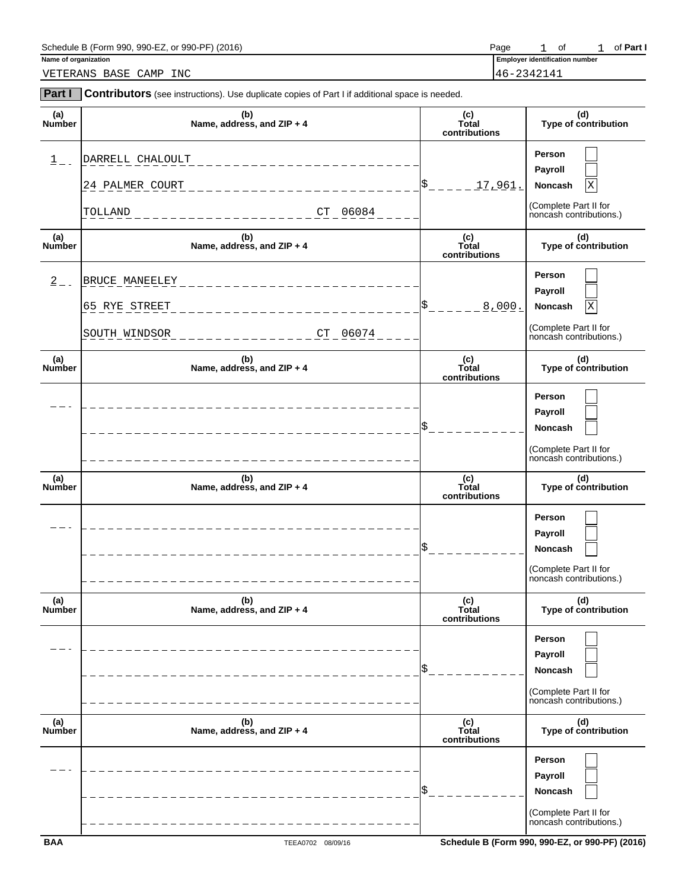# Schedule B (Form 990, 990-EZ, or 990-PF) (2016)<br>
Name of organization **Part I Part I Part I Part I Part I Part I Part I Part I Part I Part I Part I Part I Part I Part I Part I Part I Part I**

VETERANS BASE CAMP INC 46-2342141

**Employer identification number**  $o f$ 

| <b>Part I</b>        | Contributors (see instructions). Use duplicate copies of Part I if additional space is needed. |                               |                                                                                       |
|----------------------|------------------------------------------------------------------------------------------------|-------------------------------|---------------------------------------------------------------------------------------|
| (a)<br>Number        | (b)<br>Name, address, and ZIP + 4                                                              | (c)<br>Total<br>contributions | (d)<br>Type of contribution                                                           |
| $1$ .                | DARRELL CHALOULT<br>24 PALMER COURT<br>06084<br>TOLLAND<br>${\cal C}{\cal T}$                  | 17,961.                       | Person<br>Payroll<br>Noncash<br>Χ<br>(Complete Part II for<br>noncash contributions.) |
| (a)<br>Number        | (b)<br>Name, address, and ZIP + 4                                                              | (c)<br>Total<br>contributions | (d)<br>Type of contribution                                                           |
| $2 - 1$              | BRUCE MANEELEY<br>65 RYE STREET<br>06074<br>SOUTH WINDSOR<br>CT                                | 8,000.                        | Person<br>Payroll<br>Noncash<br>X<br>(Complete Part II for<br>noncash contributions.) |
| (a)<br>Number        | (b)<br>Name, address, and ZIP + 4                                                              | (c)<br>Total<br>contributions | (d)<br>Type of contribution                                                           |
|                      |                                                                                                |                               | Person<br>Payroll<br>Noncash<br>(Complete Part II for<br>noncash contributions.)      |
| (a)<br><b>Number</b> | (b)<br>Name, address, and ZIP + 4                                                              | (c)<br>Total<br>contributions | (d)<br>Type of contribution                                                           |
|                      |                                                                                                |                               | Person<br>Payroll<br>Noncash<br>(Complete Part II for<br>noncash contributions.)      |
| (a)<br>Number        | (b)<br>Name, address, and ZIP + 4                                                              | (c)<br>Total<br>contributions | (d)<br>Type of contribution                                                           |
|                      |                                                                                                |                               | Person<br>Payroll<br>Noncash<br>(Complete Part II for<br>noncash contributions.)      |
| (a)<br>Number        | (b)<br>Name, address, and ZIP + 4                                                              | (c)<br>Total<br>contributions | (d)<br>Type of contribution                                                           |
|                      |                                                                                                |                               | Person<br>Payroll<br>Noncash<br>(Complete Part II for<br>noncash contributions.)      |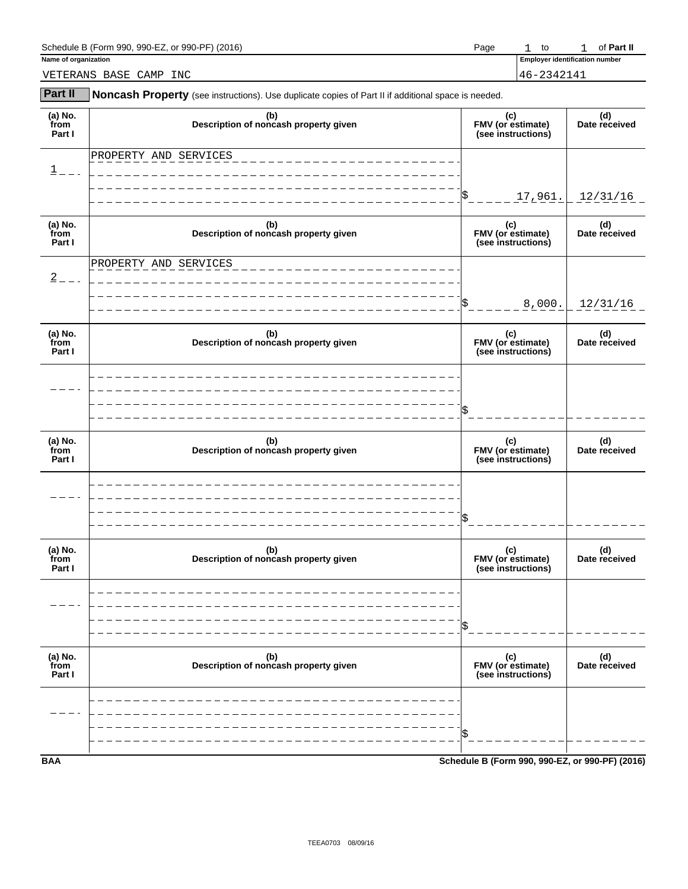### Schedule B (Form 990, 990-EZ, or 990-PF) (2016) **Page** 1 to of **Part II** control of **Part II** control of **Part II**

| Name of organization |
|----------------------|
|----------------------|

**Employer identification number**  $1$  to

VETERANS BASE CAMP INC 46-2342141

| <b>Part II</b>            | Noncash Property (see instructions). Use duplicate copies of Part II if additional space is needed. |                                                |                      |  |
|---------------------------|-----------------------------------------------------------------------------------------------------|------------------------------------------------|----------------------|--|
| (a) No.<br>from<br>Part I | (b)<br>Description of noncash property given                                                        | (c)<br>FMV (or estimate)<br>(see instructions) | (d)<br>Date received |  |
| $1 = -$                   | PROPERTY AND SERVICES                                                                               |                                                |                      |  |
|                           |                                                                                                     | 17,961.                                        | 12/31/16             |  |
| (a) No.<br>from<br>Part I | (b)<br>Description of noncash property given                                                        | (c)<br>FMV (or estimate)<br>(see instructions) | (d)<br>Date received |  |
| $2 - - -$                 | PROPERTY AND SERVICES                                                                               | 8,000.                                         | 12/31/16             |  |
| (a) No.<br>from<br>Part I | (b)<br>Description of noncash property given                                                        | (c)<br>FMV (or estimate)<br>(see instructions) | (d)<br>Date received |  |
|                           |                                                                                                     |                                                |                      |  |
| (a) No.<br>from<br>Part I | (b)<br>Description of noncash property given                                                        | (c)<br>FMV (or estimate)<br>(see instructions) | (d)<br>Date received |  |
|                           |                                                                                                     |                                                |                      |  |
| (a) No.<br>from<br>Part I | (b)<br>Description of noncash property given                                                        | (c)<br>FMV (or estimate)<br>(see instructions) | (d)<br>Date received |  |
|                           |                                                                                                     |                                                |                      |  |
| (a) No.<br>from<br>Part I | (b)<br>Description of noncash property given                                                        | (c)<br>FMV (or estimate)<br>(see instructions) | (d)<br>Date received |  |
|                           |                                                                                                     |                                                |                      |  |
|                           |                                                                                                     |                                                |                      |  |

**BAA Schedule B (Form 990, 990-EZ, or 990-PF) (2016)**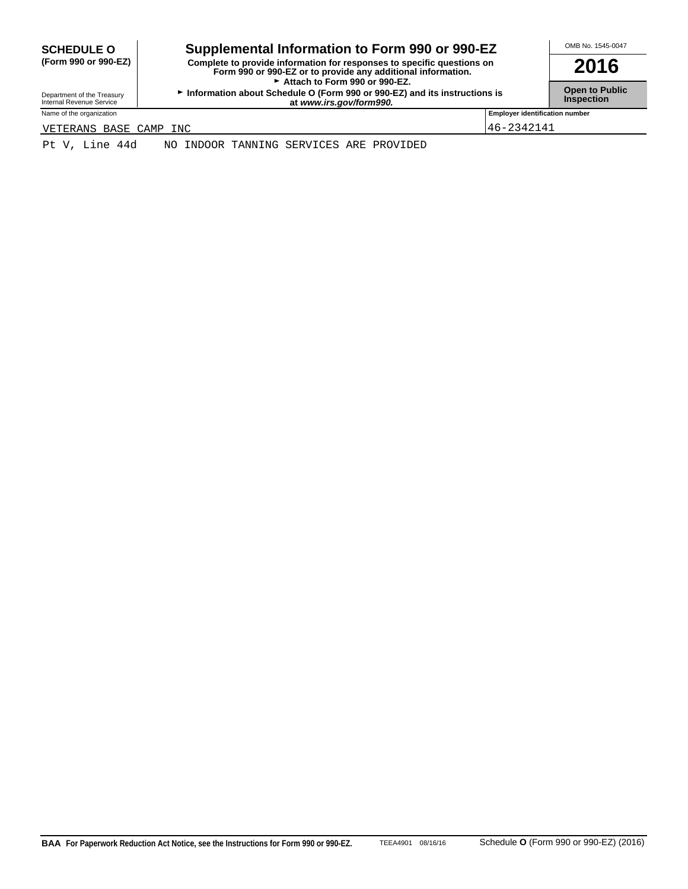| <b>SCHEDULE O</b> |                      |
|-------------------|----------------------|
|                   | (Form 990 or 990-EZ) |

### SCHEDULE O **combination to Form 990 or 990-EZ COMB No. 1545-0047**

**(Form 990 or 990-EZ) Complete to provide information for responses to specific questions on Form 990 or 990-EZ or to provide any additional information. 2016** Attach to Form 990 or 990-EZ.

**Department of the Treasury <b>Information about Schedule O** (Form 990 or 990-EZ) and its instructions is **Open to Public**<br>Internal Revenue Service **Inspection at** *www.irs.gov/form990.* **at 1.6 and its instructions is** 

Name of the organization **Employer identification number Employer identification number** 

VETERANS BASE CAMP INC 46-2342141

Pt V, Line 44d NO INDOOR TANNING SERVICES ARE PROVIDED